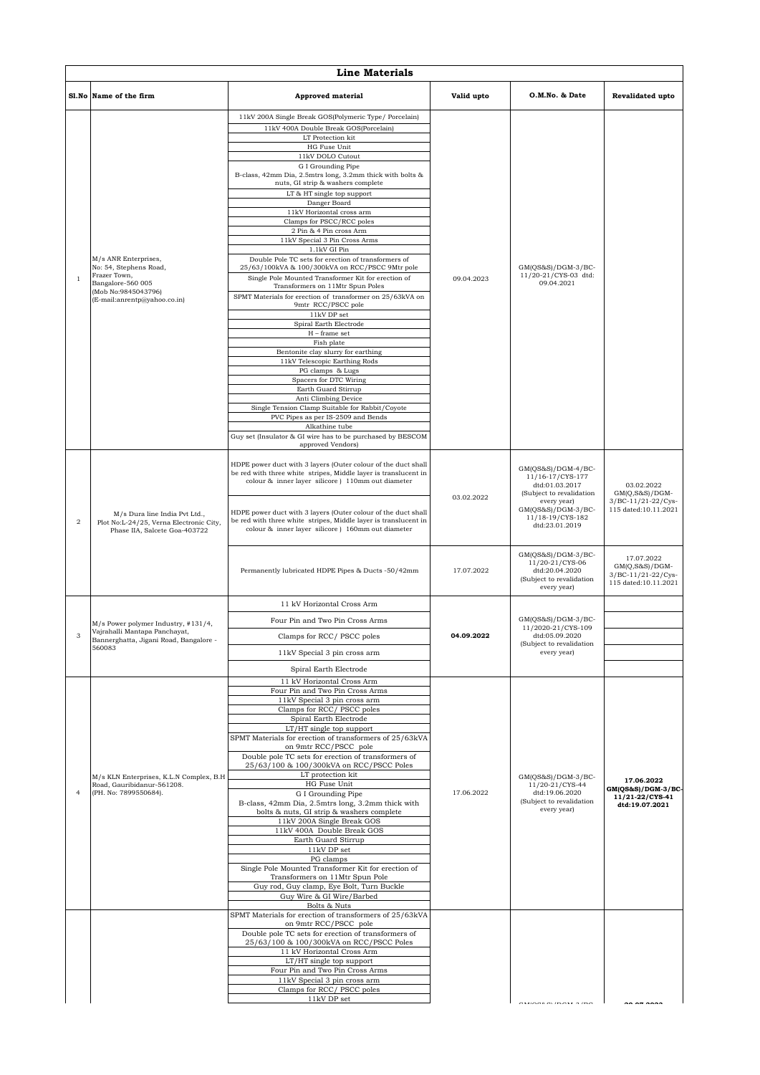|                | <b>Line Materials</b>                                                                                                                      |                                                                                                                                                                                                                                                                                                                                                                                                                                                                                                                                                                                                                                                                                                                                                                                                                                                                                                                                                                                                                                                                                                                                                                                      |            |                                                                                                                                                                                       |                                                                                             |  |  |
|----------------|--------------------------------------------------------------------------------------------------------------------------------------------|--------------------------------------------------------------------------------------------------------------------------------------------------------------------------------------------------------------------------------------------------------------------------------------------------------------------------------------------------------------------------------------------------------------------------------------------------------------------------------------------------------------------------------------------------------------------------------------------------------------------------------------------------------------------------------------------------------------------------------------------------------------------------------------------------------------------------------------------------------------------------------------------------------------------------------------------------------------------------------------------------------------------------------------------------------------------------------------------------------------------------------------------------------------------------------------|------------|---------------------------------------------------------------------------------------------------------------------------------------------------------------------------------------|---------------------------------------------------------------------------------------------|--|--|
| Sl.No          | Name of the firm                                                                                                                           | <b>Approved material</b>                                                                                                                                                                                                                                                                                                                                                                                                                                                                                                                                                                                                                                                                                                                                                                                                                                                                                                                                                                                                                                                                                                                                                             | Valid upto | O.M.No. & Date                                                                                                                                                                        | Revalidated upto                                                                            |  |  |
| $\overline{1}$ | M/s ANR Enterprises,<br>No: 54, Stephens Road,<br>Frazer Town,<br>Bangalore-560 005<br>(Mob No:9845043796)<br>(E-mail:anrentp@yahoo.co.in) | 11kV 200A Single Break GOS(Polymeric Type/ Porcelain)<br>11kV 400A Double Break GOS(Porcelain)<br>LT Protection kit<br>HG Fuse Unit<br>11kV DOLO Cutout<br>G I Grounding Pipe<br>B-class, 42mm Dia, 2.5mtrs long, 3.2mm thick with bolts &<br>nuts, GI strip & washers complete<br>LT & HT single top support<br>Danger Board<br>11kV Horizontal cross arm<br>Clamps for PSCC/RCC poles<br>2 Pin & 4 Pin cross Arm<br>11kV Special 3 Pin Cross Arms<br>1.1kV GI Pin<br>Double Pole TC sets for erection of transformers of<br>25/63/100kVA & 100/300kVA on RCC/PSCC 9Mtr pole<br>Single Pole Mounted Transformer Kit for erection of<br>Transformers on 11Mtr Spun Poles<br>SPMT Materials for erection of transformer on 25/63kVA on<br>9mtr RCC/PSCC pole<br>$11kV$ DP set<br>Spiral Earth Electrode<br>$H$ – frame set<br>Fish plate<br>Bentonite clay slurry for earthing<br>11kV Telescopic Earthing Rods<br>PG clamps & Lugs<br>Spacers for DTC Wiring<br>Earth Guard Stirrup<br>Anti Climbing Device<br>Single Tension Clamp Suitable for Rabbit/Coyote<br>PVC Pipes as per IS-2509 and Bends<br>Alkathine tube<br>Guy set (Insulator & GI wire has to be purchased by BESCOM | 09.04.2023 | GM(QS&S)/DGM-3/BC-<br>11/20-21/CYS-03 dtd:<br>09.04.2021                                                                                                                              |                                                                                             |  |  |
| $\overline{2}$ | M/s Dura line India Pvt Ltd.,<br>Plot No:L-24/25, Verna Electronic City,<br>Phase IIA, Salcete Goa-403722                                  | approved Vendors)<br>HDPE power duct with 3 layers (Outer colour of the duct shall<br>be red with three white stripes, Middle layer is translucent in<br>colour & inner layer silicore ) 110mm out diameter<br>HDPE power duct with 3 layers (Outer colour of the duct shall<br>be red with three white stripes, Middle layer is translucent in<br>colour & inner layer silicore ) 160mm out diameter                                                                                                                                                                                                                                                                                                                                                                                                                                                                                                                                                                                                                                                                                                                                                                                | 03.02.2022 | GM(QS&S)/DGM-4/BC-<br>11/16-17/CYS-177<br>dtd:01.03.2017<br>(Subject to revalidation<br>every year)<br>GM(QS&S)/DGM-3/BC-<br>11/18-19/CYS-182<br>dtd:23.01.2019<br>GM(QS&S)/DGM-3/BC- | 03.02.2022<br>$GM(Q, S&S)/DGM-$<br>3/BC-11/21-22/Cys-<br>115 dated:10.11.2021<br>17.07.2022 |  |  |
|                |                                                                                                                                            | Permanently lubricated HDPE Pipes & Ducts -50/42mm                                                                                                                                                                                                                                                                                                                                                                                                                                                                                                                                                                                                                                                                                                                                                                                                                                                                                                                                                                                                                                                                                                                                   | 17.07.2022 | 11/20-21/CYS-06<br>dtd:20.04.2020<br>(Subject to revalidation<br>every year)                                                                                                          | $GM(Q, S&S)/DGM-$<br>3/BC-11/21-22/Cys-<br>115 dated:10.11.2021                             |  |  |
|                | M/s Power polymer Industry, #131/4,<br>Vajrahalli Mantapa Panchayat,<br>Bannerghatta, Jigani Road, Bangalore -<br>560083                   | 11 kV Horizontal Cross Arm<br>Four Pin and Two Pin Cross Arms<br>Clamps for RCC/ PSCC poles<br>11kV Special 3 pin cross arm                                                                                                                                                                                                                                                                                                                                                                                                                                                                                                                                                                                                                                                                                                                                                                                                                                                                                                                                                                                                                                                          | 04.09.2022 | GM(QS&S)/DGM-3/BC-<br>11/2020-21/CYS-109<br>dtd:05.09.2020<br>(Subject to revalidation<br>every year)                                                                                 |                                                                                             |  |  |
| $\overline{4}$ | M/s KLN Enterprises, K.L.N Complex, B.H<br>Road, Gauribidanur-561208.<br>(PH. No: 7899550684).                                             | Spiral Earth Electrode<br>11 kV Horizontal Cross Arm<br>Four Pin and Two Pin Cross Arms<br>11kV Special 3 pin cross arm<br>Clamps for RCC/PSCC poles<br>Spiral Earth Electrode<br>LT/HT single top support<br>SPMT Materials for erection of transformers of 25/63kVA<br>on 9mtr RCC/PSCC pole<br>Double pole TC sets for erection of transformers of<br>25/63/100 & 100/300kVA on RCC/PSCC Poles<br>LT protection kit<br>HG Fuse Unit<br>G I Grounding Pipe<br>B-class, 42mm Dia, 2.5mtrs long, 3.2mm thick with<br>bolts & nuts, GI strip & washers complete<br>11kV 200A Single Break GOS<br>11kV 400A Double Break GOS<br>Earth Guard Stirrup<br>11kV DP set<br>PG clamps<br>Single Pole Mounted Transformer Kit for erection of<br>Transformers on 11Mtr Spun Pole<br>Guy rod, Guy clamp, Eye Bolt, Turn Buckle<br>Guy Wire & GI Wire/Barbed<br>Bolts & Nuts                                                                                                                                                                                                                                                                                                                    | 17.06.2022 | $GM(QS&S)/DGM-3/BC-$<br>11/20-21/CYS-44<br>dtd:19.06.2020<br>(Subject to revalidation<br>every year)                                                                                  | 17.06.2022<br>GM(QS&S)/DGM-3/BC-<br>11/21-22/CYS-41<br>dtd:19.07.2021                       |  |  |
|                |                                                                                                                                            | SPMT Materials for erection of transformers of 25/63kVA<br>on 9mtr RCC/PSCC pole<br>Double pole TC sets for erection of transformers of<br>25/63/100 & 100/300kVA on RCC/PSCC Poles<br>11 kV Horizontal Cross Arm<br>LT/HT single top support<br>Four Pin and Two Pin Cross Arms<br>11kV Special 3 pin cross arm<br>Clamps for RCC/ PSCC poles<br>11kV DP set                                                                                                                                                                                                                                                                                                                                                                                                                                                                                                                                                                                                                                                                                                                                                                                                                        |            |                                                                                                                                                                                       |                                                                                             |  |  |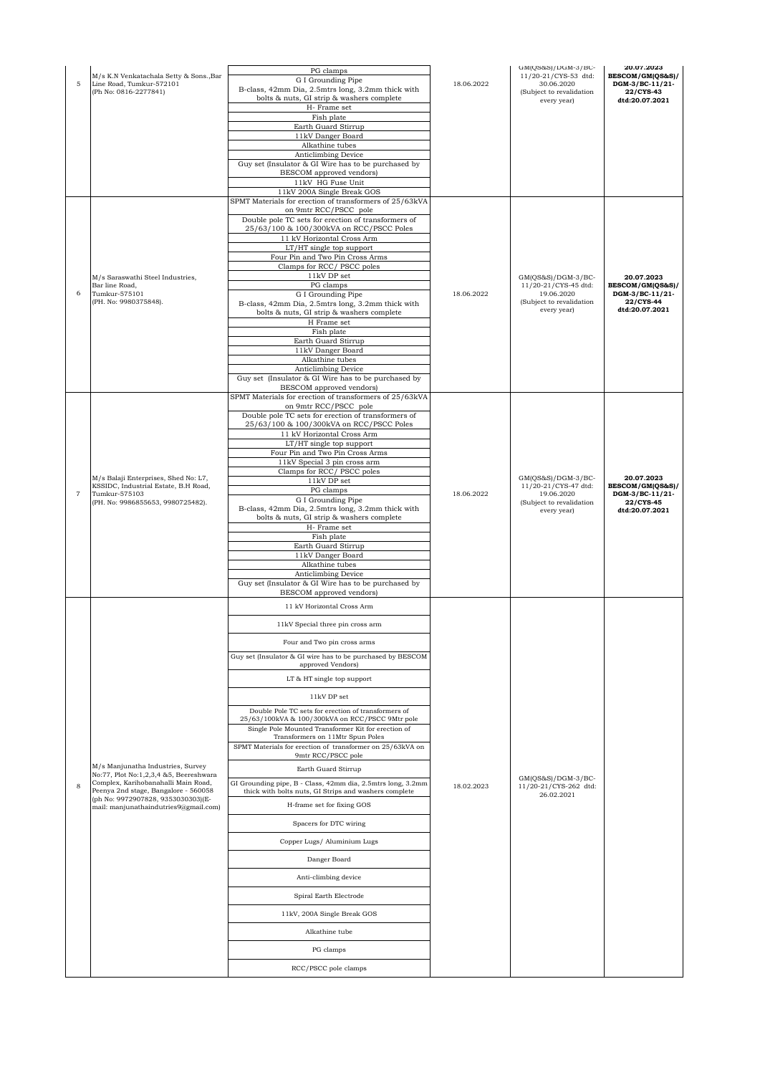| $\mathbf 5$    | M/s K.N Venkatachala Setty & Sons., Bar<br>Line Road, Tumkur-572101<br>(Ph No: 0816-2277841)                                                                                                                                              | PG clamps<br>G I Grounding Pipe<br>B-class, 42mm Dia, 2.5mtrs long, 3.2mm thick with<br>bolts & nuts, GI strip & washers complete<br>H- Frame set<br>Fish plate<br>Earth Guard Stirrup<br>11kV Danger Board<br>Alkathine tubes<br>Anticlimbing Device<br>Guy set (Insulator & GI Wire has to be purchased by<br>BESCOM approved vendors)<br>11kV HG Fuse Unit<br>11kV 200A Single Break GOS                                                                                                                                                                                                                                                                                                                                                                                                                                                                                                                         | 18.06.2022 | GM(QS&S)/DGM-3/BC-<br>11/20-21/CYS-53 dtd:<br>30.06.2020<br>(Subject to revalidation<br>every year)   | 20.07.2023<br>BESCOM/GM(QS&S)/<br>DGM-3/BC-11/21-<br>22/CYS-43<br>dtd:20.07.2021 |
|----------------|-------------------------------------------------------------------------------------------------------------------------------------------------------------------------------------------------------------------------------------------|---------------------------------------------------------------------------------------------------------------------------------------------------------------------------------------------------------------------------------------------------------------------------------------------------------------------------------------------------------------------------------------------------------------------------------------------------------------------------------------------------------------------------------------------------------------------------------------------------------------------------------------------------------------------------------------------------------------------------------------------------------------------------------------------------------------------------------------------------------------------------------------------------------------------|------------|-------------------------------------------------------------------------------------------------------|----------------------------------------------------------------------------------|
| 6              | M/s Saraswathi Steel Industries,<br>Bar line Road,<br>Tumkur-575101<br>(PH. No: 9980375848).                                                                                                                                              | SPMT Materials for erection of transformers of 25/63kVA<br>on 9mtr RCC/PSCC pole<br>Double pole TC sets for erection of transformers of<br>25/63/100 & 100/300kVA on RCC/PSCC Poles<br>11 kV Horizontal Cross Arm<br>LT/HT single top support<br>Four Pin and Two Pin Cross Arms<br>Clamps for RCC/ PSCC poles<br>11kV DP set<br>PG clamps<br>G I Grounding Pipe<br>B-class, 42mm Dia, 2.5mtrs long, 3.2mm thick with<br>bolts & nuts, GI strip & washers complete<br>H Frame set<br>Fish plate<br>Earth Guard Stirrup<br>11kV Danger Board<br>Alkathine tubes<br>Anticlimbing Device<br>Guy set (Insulator & GI Wire has to be purchased by<br>BESCOM approved vendors)                                                                                                                                                                                                                                            | 18.06.2022 | $GM(QS&S)/DGM-3/BC-$<br>11/20-21/CYS-45 dtd:<br>19.06.2020<br>(Subject to revalidation<br>every year) | 20.07.2023<br>BESCOM/GM(QS&S)/<br>DGM-3/BC-11/21-<br>22/CYS-44<br>dtd:20.07.2021 |
| $\overline{7}$ | M/s Balaji Enterprises, Shed No: L7,<br>KSSIDC, Industrial Estate, B.H Road,<br>Tumkur-575103<br>(PH. No: 9986855653, 9980725482).                                                                                                        | SPMT Materials for erection of transformers of 25/63kVA<br>on 9mtr RCC/PSCC pole<br>Double pole TC sets for erection of transformers of<br>25/63/100 & 100/300kVA on RCC/PSCC Poles<br>11 kV Horizontal Cross Arm<br>LT/HT single top support<br>Four Pin and Two Pin Cross Arms<br>11kV Special 3 pin cross arm<br>Clamps for RCC/PSCC poles<br>11kV DP set<br>PG clamps<br>G I Grounding Pipe<br>B-class, 42mm Dia, 2.5mtrs long, 3.2mm thick with<br>bolts & nuts, GI strip & washers complete<br>H- Frame set<br>Fish plate<br>Earth Guard Stirrup<br>11kV Danger Board<br>Alkathine tubes<br>Anticlimbing Device<br>Guy set (Insulator & GI Wire has to be purchased by<br>BESCOM approved vendors)                                                                                                                                                                                                            | 18.06.2022 | GM(QS&S)/DGM-3/BC-<br>11/20-21/CYS-47 dtd:<br>19.06.2020<br>(Subject to revalidation<br>every year)   | 20.07.2023<br>BESCOM/GM(QS&S)/<br>DGM-3/BC-11/21-<br>22/CYS-45<br>dtd:20.07.2021 |
| 8              | M/s Manjunatha Industries, Survey<br>No:77, Plot No:1,2,3,4 &5, Beereshwara<br>Complex, Karihobanahalli Main Road,<br>Peenya 2nd stage, Bangalore - 560058<br>(ph No: 9972907828, 9353030303)(E-<br>mail: manjunathaindutries9@gmail.com) | 11 kV Horizontal Cross Arm<br>11kV Special three pin cross arm<br>Four and Two pin cross arms<br>Guy set (Insulator & GI wire has to be purchased by BESCOM<br>approved Vendors)<br>LT & HT single top support<br>11kV DP set<br>Double Pole TC sets for erection of transformers of<br>25/63/100kVA & 100/300kVA on RCC/PSCC 9Mtr pole<br>Single Pole Mounted Transformer Kit for erection of<br>Transformers on 11Mtr Spun Poles<br>SPMT Materials for erection of transformer on 25/63kVA on<br>9mtr RCC/PSCC pole<br>Earth Guard Stirrup<br>GI Grounding pipe, B - Class, 42mm dia, 2.5mtrs long, 3.2mm<br>thick with bolts nuts, GI Strips and washers complete<br>H-frame set for fixing GOS<br>Spacers for DTC wiring<br>Copper Lugs/ Aluminium Lugs<br>Danger Board<br>Anti-climbing device<br>Spiral Earth Electrode<br>11kV, 200A Single Break GOS<br>Alkathine tube<br>PG clamps<br>RCC/PSCC pole clamps | 18.02.2023 | $GM(QS&S)/DGM-3/BC-$<br>11/20-21/CYS-262 dtd:<br>26.02.2021                                           |                                                                                  |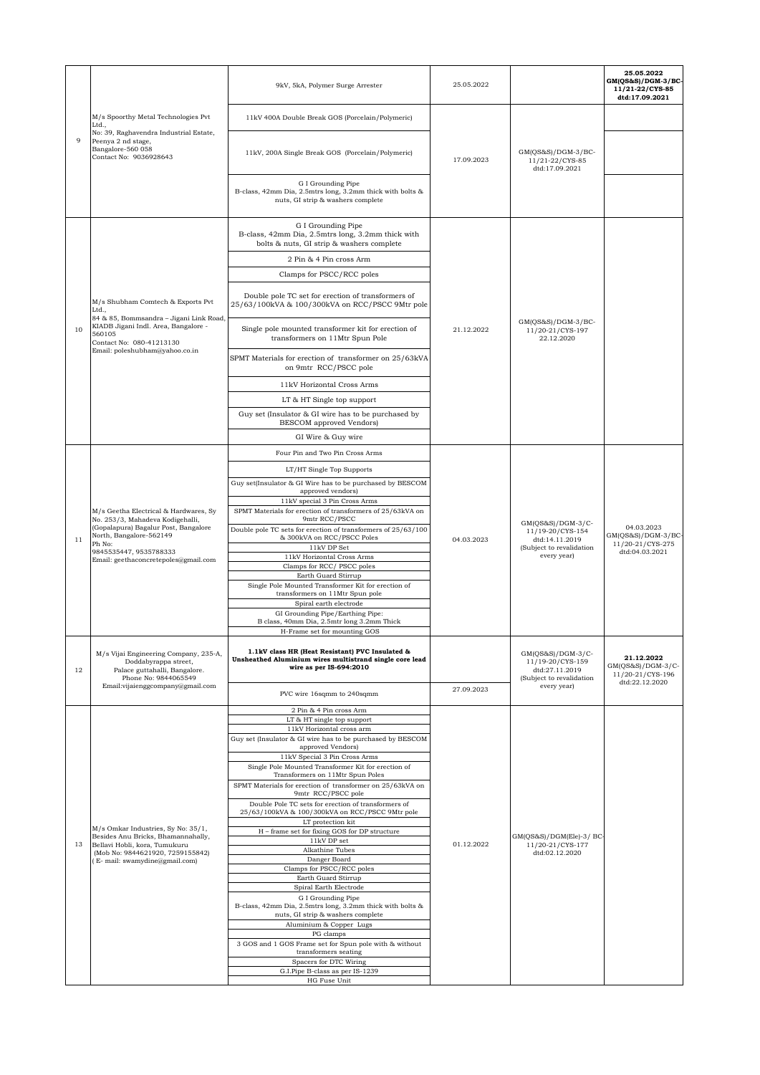|    |                                                                                                                                                                                                                          | 9kV, 5kA, Polymer Surge Arrester                                                                                                      | 25.05.2022 |                                                                                     | 25.05.2022<br>GM(QS&S)/DGM-3/BC-<br>11/21-22/CYS-85<br>dtd:17.09.2021   |
|----|--------------------------------------------------------------------------------------------------------------------------------------------------------------------------------------------------------------------------|---------------------------------------------------------------------------------------------------------------------------------------|------------|-------------------------------------------------------------------------------------|-------------------------------------------------------------------------|
|    | M/s Spoorthy Metal Technologies Pvt<br>Ltd.,<br>No: 39, Raghavendra Industrial Estate,<br>Peenya 2 nd stage,<br>Bangalore-560 058<br>Contact No: 9036928643                                                              | 11kV 400A Double Break GOS (Porcelain/Polymeric)                                                                                      |            |                                                                                     |                                                                         |
| 9  |                                                                                                                                                                                                                          | 11kV, 200A Single Break GOS (Porcelain/Polymeric)                                                                                     | 17.09.2023 | $GM(QS&S)/DGM-3/BC-$<br>11/21-22/CYS-85<br>dtd:17.09.2021                           |                                                                         |
|    |                                                                                                                                                                                                                          | G I Grounding Pipe<br>B-class, 42mm Dia, 2.5mtrs long, 3.2mm thick with bolts &<br>nuts, GI strip & washers complete                  |            |                                                                                     |                                                                         |
|    |                                                                                                                                                                                                                          | G I Grounding Pipe<br>B-class, 42mm Dia, 2.5mtrs long, 3.2mm thick with<br>bolts & nuts, GI strip & washers complete                  |            |                                                                                     |                                                                         |
|    |                                                                                                                                                                                                                          | 2 Pin & 4 Pin cross Arm                                                                                                               |            |                                                                                     |                                                                         |
|    |                                                                                                                                                                                                                          | Clamps for PSCC/RCC poles                                                                                                             |            |                                                                                     |                                                                         |
|    | M/s Shubham Comtech & Exports Pvt<br>Ltd.,<br>84 & 85, Bommsandra - Jigani Link Road,                                                                                                                                    | Double pole TC set for erection of transformers of<br>25/63/100kVA & 100/300kVA on RCC/PSCC 9Mtr pole                                 |            |                                                                                     |                                                                         |
| 10 | KIADB Jigani Indl. Area, Bangalore -<br>560105<br>Contact No: 080-41213130<br>Email: poleshubham@yahoo.co.in                                                                                                             | Single pole mounted transformer kit for erection of<br>transformers on 11Mtr Spun Pole                                                | 21.12.2022 | $GM(OS&S)/DGM-3/BC-$<br>11/20-21/CYS-197<br>22.12.2020                              |                                                                         |
|    |                                                                                                                                                                                                                          | SPMT Materials for erection of transformer on 25/63kVA<br>on 9mtr RCC/PSCC pole                                                       |            |                                                                                     |                                                                         |
|    |                                                                                                                                                                                                                          | 11kV Horizontal Cross Arms                                                                                                            |            |                                                                                     |                                                                         |
|    |                                                                                                                                                                                                                          | LT & HT Single top support                                                                                                            |            |                                                                                     |                                                                         |
|    |                                                                                                                                                                                                                          | Guy set (Insulator & GI wire has to be purchased by<br>BESCOM approved Vendors)                                                       |            |                                                                                     |                                                                         |
|    |                                                                                                                                                                                                                          | GI Wire & Guy wire                                                                                                                    |            |                                                                                     |                                                                         |
|    | M/s Geetha Electrical & Hardwares, Sy<br>No. 253/3, Mahadeva Kodigehalli,<br>(Gopalapura) Bagalur Post, Bangalore<br>North, Bangalore-562149<br>Ph No:<br>9845535447, 9535788333<br>Email: geethaconcretepoles@gmail.com | Four Pin and Two Pin Cross Arms                                                                                                       |            |                                                                                     |                                                                         |
|    |                                                                                                                                                                                                                          | LT/HT Single Top Supports                                                                                                             |            |                                                                                     |                                                                         |
|    |                                                                                                                                                                                                                          | Guy set(Insulator & GI Wire has to be purchased by BESCOM<br>approved vendors)                                                        |            |                                                                                     |                                                                         |
|    |                                                                                                                                                                                                                          | 11kV special 3 Pin Cross Arms<br>SPMT Materials for erection of transformers of 25/63kVA on<br>9mtr RCC/PSCC                          | 04.03.2023 |                                                                                     |                                                                         |
| 11 |                                                                                                                                                                                                                          | Double pole TC sets for erection of transformers of 25/63/100<br>& 300kVA on RCC/PSCC Poles<br>11kV DP Set                            |            | GM(QS&S)/DGM-3/C-<br>11/19-20/CYS-154<br>dtd:14.11.2019<br>(Subject to revalidation | 04.03.2023<br>GM(QS&S)/DGM-3/BC-<br>11/20-21/CYS-275                    |
|    |                                                                                                                                                                                                                          | 11kV Horizontal Cross Arms                                                                                                            |            | every year)                                                                         | dtd:04.03.2021                                                          |
|    |                                                                                                                                                                                                                          | Clamps for RCC/PSCC poles<br>Earth Guard Stirrup                                                                                      |            |                                                                                     |                                                                         |
|    |                                                                                                                                                                                                                          | Single Pole Mounted Transformer Kit for erection of<br>transformers on 11Mtr Spun pole                                                |            |                                                                                     |                                                                         |
|    |                                                                                                                                                                                                                          | Spiral earth electrode<br>GI Grounding Pipe/Earthing Pipe:                                                                            |            |                                                                                     |                                                                         |
|    |                                                                                                                                                                                                                          | B class, 40mm Dia, 2.5mtr long 3.2mm Thick<br>H-Frame set for mounting GOS                                                            |            |                                                                                     |                                                                         |
| 12 | M/s Vijai Engineering Company, 235-A,<br>Doddabyrappa street,<br>Palace guttahalli, Bangalore.<br>Phone No: 9844065549                                                                                                   | 1.1kV class HR (Heat Resistant) PVC Insulated &<br>Unsheathed Aluminium wires multistrand single core lead<br>wire as per IS-694:2010 |            | GM(QS&S)/DGM-3/C-<br>11/19-20/CYS-159<br>dtd:27.11.2019<br>(Subject to revalidation | 21.12.2022<br>$GM(QS&S)/DGM-3/C-$<br>11/20-21/CYS-196<br>dtd:22.12.2020 |
|    | Email:vijaienggcompany@gmail.com                                                                                                                                                                                         | PVC wire 16sqmm to 240sqmm                                                                                                            | 27.09.2023 | every year)                                                                         |                                                                         |
|    |                                                                                                                                                                                                                          | 2 Pin & 4 Pin cross Arm<br>LT & HT single top support                                                                                 |            |                                                                                     |                                                                         |
|    |                                                                                                                                                                                                                          | 11kV Horizontal cross arm                                                                                                             |            |                                                                                     |                                                                         |
|    |                                                                                                                                                                                                                          | Guy set (Insulator & GI wire has to be purchased by BESCOM<br>approved Vendors)                                                       |            |                                                                                     |                                                                         |
|    |                                                                                                                                                                                                                          | 11kV Special 3 Pin Cross Arms<br>Single Pole Mounted Transformer Kit for erection of                                                  |            |                                                                                     |                                                                         |
|    |                                                                                                                                                                                                                          | Transformers on 11Mtr Spun Poles                                                                                                      |            |                                                                                     |                                                                         |
|    |                                                                                                                                                                                                                          | SPMT Materials for erection of transformer on 25/63kVA on<br>9mtr RCC/PSCC pole                                                       |            |                                                                                     |                                                                         |
|    |                                                                                                                                                                                                                          | Double Pole TC sets for erection of transformers of<br>25/63/100kVA & 100/300kVA on RCC/PSCC 9Mtr pole                                |            |                                                                                     |                                                                         |
|    | M/s Omkar Industries, Sy No: 35/1,<br>Besides Anu Bricks, Bhamannahally,                                                                                                                                                 | LT protection kit<br>H - frame set for fixing GOS for DP structure                                                                    |            | GM(QS&S)/DGM(Ele)-3/ BC                                                             |                                                                         |
| 13 | Bellavi Hobli, kora, Tumukuru                                                                                                                                                                                            | $11\mathrm{kV}$ DP set<br>Alkathine Tubes                                                                                             | 01.12.2022 | 11/20-21/CYS-177                                                                    |                                                                         |
|    | (Mob No: 9844621920, 7259155842)<br>(E- mail: swamydine@gmail.com)                                                                                                                                                       | Danger Board                                                                                                                          |            | dtd:02.12.2020                                                                      |                                                                         |
|    |                                                                                                                                                                                                                          | Clamps for PSCC/RCC poles<br>Earth Guard Stirrup                                                                                      |            |                                                                                     |                                                                         |
|    |                                                                                                                                                                                                                          | Spiral Earth Electrode<br>G I Grounding Pipe                                                                                          |            |                                                                                     |                                                                         |
|    |                                                                                                                                                                                                                          | B-class, 42mm Dia, 2.5mtrs long, 3.2mm thick with bolts &                                                                             |            |                                                                                     |                                                                         |
|    |                                                                                                                                                                                                                          | nuts, GI strip & washers complete<br>Aluminium & Copper Lugs                                                                          |            |                                                                                     |                                                                         |
|    |                                                                                                                                                                                                                          | PG clamps                                                                                                                             |            |                                                                                     |                                                                         |
|    |                                                                                                                                                                                                                          | 3 GOS and 1 GOS Frame set for Spun pole with & without<br>transformers seating                                                        |            |                                                                                     |                                                                         |
|    |                                                                                                                                                                                                                          | Spacers for DTC Wiring<br>G.I.Pipe B-class as per IS-1239                                                                             |            |                                                                                     |                                                                         |
|    |                                                                                                                                                                                                                          | HG Fuse Unit                                                                                                                          |            |                                                                                     |                                                                         |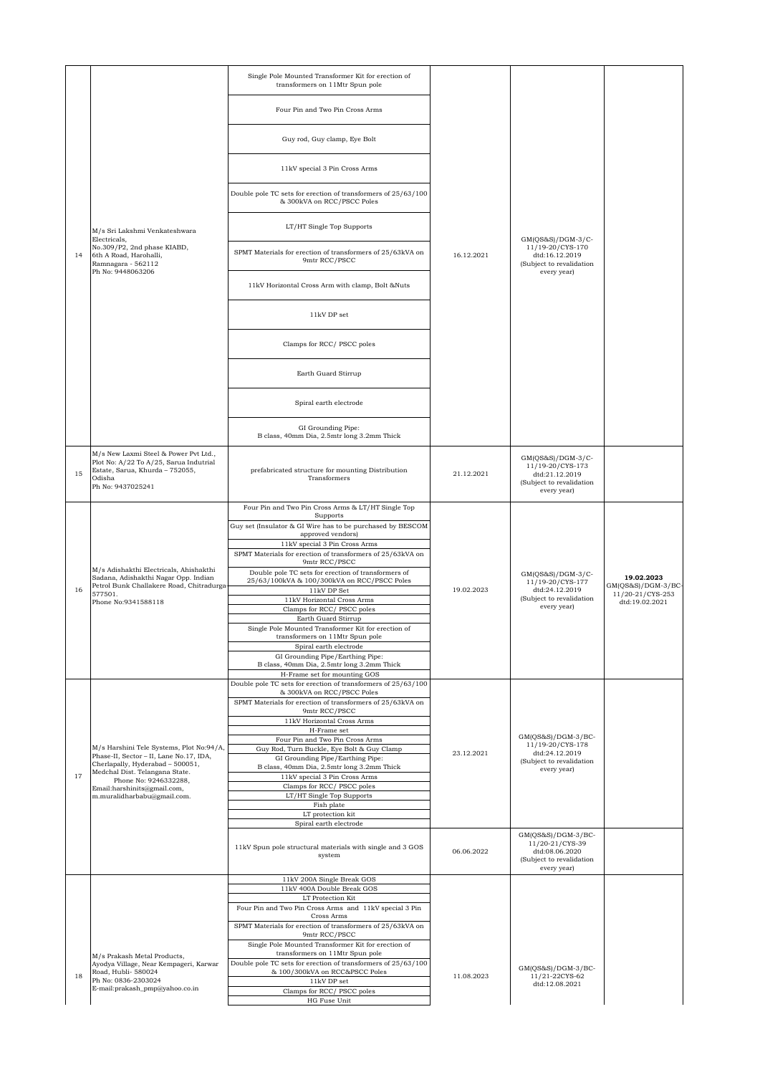|    |                                                                                                                                                   | Single Pole Mounted Transformer Kit for erection of<br>transformers on 11Mtr Spun pole                            |            |                                                                                                      |                                                       |
|----|---------------------------------------------------------------------------------------------------------------------------------------------------|-------------------------------------------------------------------------------------------------------------------|------------|------------------------------------------------------------------------------------------------------|-------------------------------------------------------|
|    |                                                                                                                                                   | Four Pin and Two Pin Cross Arms                                                                                   |            |                                                                                                      |                                                       |
|    |                                                                                                                                                   | Guy rod, Guy clamp, Eye Bolt                                                                                      |            |                                                                                                      |                                                       |
|    |                                                                                                                                                   | 11kV special 3 Pin Cross Arms                                                                                     |            |                                                                                                      |                                                       |
|    |                                                                                                                                                   | Double pole TC sets for erection of transformers of 25/63/100<br>& 300kVA on RCC/PSCC Poles                       |            |                                                                                                      |                                                       |
|    | M/s Sri Lakshmi Venkateshwara<br>Electricals,                                                                                                     | LT/HT Single Top Supports                                                                                         |            | $GM(QS&S)/DGM-3/C-$                                                                                  |                                                       |
| 14 | No.309/P2, 2nd phase KIABD,<br>6th A Road, Harohalli,<br>Ramnagara - 562112<br>Ph No: 9448063206                                                  | SPMT Materials for erection of transformers of 25/63kVA on<br>9mtr RCC/PSCC                                       | 16.12.2021 | 11/19-20/CYS-170<br>dtd:16.12.2019<br>(Subject to revalidation<br>every year)                        |                                                       |
|    |                                                                                                                                                   | 11kV Horizontal Cross Arm with clamp, Bolt &Nuts                                                                  |            |                                                                                                      |                                                       |
|    |                                                                                                                                                   | 11kV DP set                                                                                                       |            |                                                                                                      |                                                       |
|    |                                                                                                                                                   | Clamps for RCC/PSCC poles                                                                                         |            |                                                                                                      |                                                       |
|    |                                                                                                                                                   | Earth Guard Stirrup                                                                                               |            |                                                                                                      |                                                       |
|    |                                                                                                                                                   | Spiral earth electrode                                                                                            |            |                                                                                                      |                                                       |
|    |                                                                                                                                                   | GI Grounding Pipe:<br>B class, 40mm Dia, 2.5mtr long 3.2mm Thick                                                  |            |                                                                                                      |                                                       |
| 15 | M/s New Laxmi Steel & Power Pvt Ltd.,<br>Plot No: A/22 To A/25, Sarua Indutrial<br>Estate, Sarua, Khurda - 752055,<br>Odisha<br>Ph No: 9437025241 | prefabricated structure for mounting Distribution<br>Transformers                                                 | 21.12.2021 | $GM(QS&S)/DGM-3/C-$<br>11/19-20/CYS-173<br>dtd:21.12.2019<br>(Subject to revalidation<br>every year) |                                                       |
|    |                                                                                                                                                   | Four Pin and Two Pin Cross Arms & LT/HT Single Top                                                                |            |                                                                                                      |                                                       |
|    |                                                                                                                                                   | Supports<br>Guy set (Insulator & GI Wire has to be purchased by BESCOM                                            |            |                                                                                                      |                                                       |
|    |                                                                                                                                                   | approved vendors)<br>11kV special 3 Pin Cross Arms                                                                |            |                                                                                                      |                                                       |
|    |                                                                                                                                                   | SPMT Materials for erection of transformers of 25/63kVA on<br>9mtr RCC/PSCC                                       |            |                                                                                                      |                                                       |
| 16 | M/s Adishakthi Electricals, Ahishakthi<br>Sadana, Adishakthi Nagar Opp. Indian<br>Petrol Bunk Challakere Road, Chitradurga-<br>577501.            | Double pole TC sets for erection of transformers of<br>25/63/100kVA & 100/300kVA on RCC/PSCC Poles<br>11kV DP Set | 19.02.2023 | $GM(QS&S)/DGM-3/C-$<br>11/19-20/CYS-177<br>dtd:24.12.2019                                            | 19.02.2023<br>$GM(QS&S)/DGM-3/BC$<br>11/20-21/CYS-253 |
|    | Phone No:9341588118                                                                                                                               | 11kV Horizontal Cross Arms<br>Clamps for RCC/PSCC poles                                                           |            | (Subject to revalidation<br>every year)                                                              | dtd:19.02.2021                                        |
|    |                                                                                                                                                   | Earth Guard Stirrup                                                                                               |            |                                                                                                      |                                                       |
|    |                                                                                                                                                   | Single Pole Mounted Transformer Kit for erection of<br>transformers on 11Mtr Spun pole                            |            |                                                                                                      |                                                       |
|    |                                                                                                                                                   | Spiral earth electrode                                                                                            |            |                                                                                                      |                                                       |
|    |                                                                                                                                                   | GI Grounding Pipe/Earthing Pipe:<br>B class, 40mm Dia, 2.5mtr long 3.2mm Thick                                    |            |                                                                                                      |                                                       |
|    |                                                                                                                                                   | H-Frame set for mounting GOS<br>Double pole TC sets for erection of transformers of 25/63/100                     |            |                                                                                                      |                                                       |
|    |                                                                                                                                                   | & 300kVA on RCC/PSCC Poles<br>SPMT Materials for erection of transformers of 25/63kVA on                          |            |                                                                                                      |                                                       |
|    |                                                                                                                                                   | 9mtr RCC/PSCC<br>11kV Horizontal Cross Arms                                                                       |            |                                                                                                      |                                                       |
|    |                                                                                                                                                   | H-Frame set                                                                                                       |            |                                                                                                      |                                                       |
|    | M/s Harshini Tele Systems, Plot No:94/A,                                                                                                          | Four Pin and Two Pin Cross Arms<br>Guy Rod, Turn Buckle, Eye Bolt & Guy Clamp                                     |            | $GM(QS&S)/DGM-3/BC-$<br>11/19-20/CYS-178                                                             |                                                       |
|    | Phase-II, Sector - II, Lane No.17, IDA,<br>Cherlapally, Hyderabad - 500051,                                                                       | GI Grounding Pipe/Earthing Pipe:<br>B class, 40mm Dia, 2.5mtr long 3.2mm Thick                                    | 23.12.2021 | dtd:24.12.2019<br>(Subject to revalidation                                                           |                                                       |
| 17 | Medchal Dist. Telangana State.<br>Phone No: 9246332288,                                                                                           | 11kV special 3 Pin Cross Arms                                                                                     |            | every year)                                                                                          |                                                       |
|    | Email:harshinits@gmail.com,<br>m.muralidharbabu@gmail.com.                                                                                        | Clamps for RCC/ PSCC poles<br>LT/HT Single Top Supports                                                           |            |                                                                                                      |                                                       |
|    |                                                                                                                                                   | Fish plate                                                                                                        |            |                                                                                                      |                                                       |
|    |                                                                                                                                                   | LT protection kit<br>Spiral earth electrode                                                                       |            |                                                                                                      |                                                       |
|    |                                                                                                                                                   | 11kV Spun pole structural materials with single and 3 GOS<br>system                                               | 06.06.2022 | $GM(QS&S)/DGM-3/BC-$<br>11/20-21/CYS-39<br>dtd:08.06.2020<br>(Subject to revalidation<br>every year) |                                                       |
|    |                                                                                                                                                   | 11kV 200A Single Break GOS<br>11kV 400A Double Break GOS                                                          |            |                                                                                                      |                                                       |
|    |                                                                                                                                                   | LT Protection Kit                                                                                                 |            |                                                                                                      |                                                       |
|    |                                                                                                                                                   | Four Pin and Two Pin Cross Arms and 11kV special 3 Pin<br>Cross Arms                                              |            |                                                                                                      |                                                       |
|    |                                                                                                                                                   | SPMT Materials for erection of transformers of 25/63kVA on<br>9mtr RCC/PSCC                                       |            |                                                                                                      |                                                       |
|    |                                                                                                                                                   | Single Pole Mounted Transformer Kit for erection of                                                               |            |                                                                                                      |                                                       |
|    | M/s Prakash Metal Products,<br>Ayodya Village, Near Kempageri, Karwar                                                                             | transformers on 11Mtr Spun pole<br>Double pole TC sets for erection of transformers of 25/63/100                  |            |                                                                                                      |                                                       |
| 18 | Road, Hubli- 580024<br>Ph No: 0836-2303024                                                                                                        | & 100/300kVA on RCC&PSCC Poles<br>11kV DP set                                                                     | 11.08.2023 | $GM(QS&S)/DGM-3/BC-$<br>11/21-22CYS-62                                                               |                                                       |
|    | E-mail:prakash_pmp@yahoo.co.in                                                                                                                    | Clamps for RCC/PSCC poles                                                                                         |            | dtd:12.08.2021                                                                                       |                                                       |
|    |                                                                                                                                                   | HG Fuse Unit                                                                                                      |            |                                                                                                      |                                                       |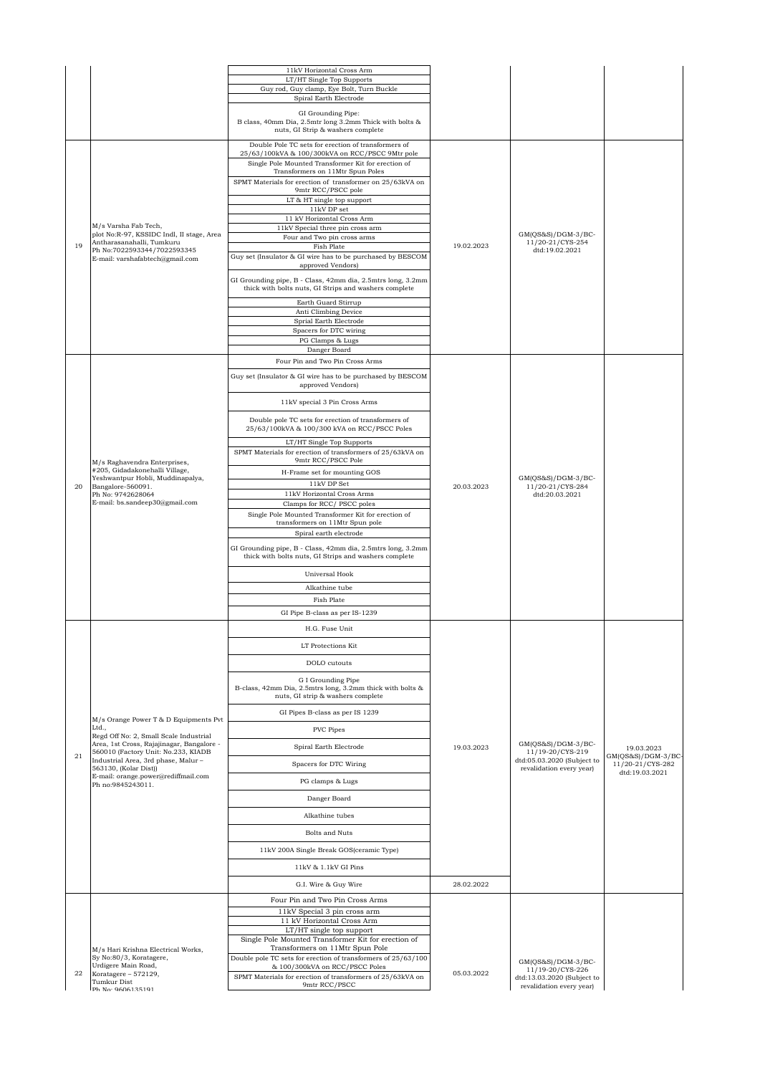|    |                                                                                                                         | 11kV Horizontal Cross Arm                                                                                                                                     |            |                                                        |                                         |
|----|-------------------------------------------------------------------------------------------------------------------------|---------------------------------------------------------------------------------------------------------------------------------------------------------------|------------|--------------------------------------------------------|-----------------------------------------|
|    |                                                                                                                         | LT/HT Single Top Supports<br>Guy rod, Guy clamp, Eye Bolt, Turn Buckle                                                                                        |            |                                                        |                                         |
|    |                                                                                                                         | Spiral Earth Electrode                                                                                                                                        |            |                                                        |                                         |
|    |                                                                                                                         | GI Grounding Pipe:<br>B class, 40mm Dia, 2.5mtr long 3.2mm Thick with bolts &<br>nuts, GI Strip & washers complete                                            |            |                                                        |                                         |
|    |                                                                                                                         | Double Pole TC sets for erection of transformers of<br>25/63/100kVA & 100/300kVA on RCC/PSCC 9Mtr pole<br>Single Pole Mounted Transformer Kit for erection of |            |                                                        |                                         |
|    |                                                                                                                         | Transformers on 11Mtr Spun Poles<br>SPMT Materials for erection of transformer on 25/63kVA on                                                                 |            |                                                        |                                         |
|    |                                                                                                                         | 9mtr RCC/PSCC pole                                                                                                                                            |            |                                                        |                                         |
|    |                                                                                                                         | LT & HT single top support<br>11kV DP set                                                                                                                     |            |                                                        |                                         |
|    | M/s Varsha Fab Tech,                                                                                                    | 11 kV Horizontal Cross Arm<br>11kV Special three pin cross arm                                                                                                |            |                                                        |                                         |
|    | plot No:R-97, KSSIDC Indl, II stage, Area<br>Antharasanahalli, Tumkuru                                                  | Four and Two pin cross arms                                                                                                                                   |            | GM(OS&S)/DGM-3/BC-<br>11/20-21/CYS-254                 |                                         |
| 19 | Ph No:7022593344/7022593345<br>E-mail: varshafabtech@gmail.com                                                          | Fish Plate<br>Guy set (Insulator & GI wire has to be purchased by BESCOM                                                                                      | 19.02.2023 | dtd:19.02.2021                                         |                                         |
|    |                                                                                                                         | approved Vendors)                                                                                                                                             |            |                                                        |                                         |
|    |                                                                                                                         | GI Grounding pipe, B - Class, 42mm dia, 2.5mtrs long, 3.2mm<br>thick with bolts nuts, GI Strips and washers complete                                          |            |                                                        |                                         |
|    |                                                                                                                         | Earth Guard Stirrup<br>Anti Climbing Device                                                                                                                   |            |                                                        |                                         |
|    |                                                                                                                         | Sprial Earth Electrode<br>Spacers for DTC wiring                                                                                                              |            |                                                        |                                         |
|    |                                                                                                                         | PG Clamps & Lugs                                                                                                                                              |            |                                                        |                                         |
|    |                                                                                                                         | Danger Board                                                                                                                                                  |            |                                                        |                                         |
|    |                                                                                                                         | Four Pin and Two Pin Cross Arms<br>Guy set (Insulator & GI wire has to be purchased by BESCOM                                                                 |            |                                                        |                                         |
|    |                                                                                                                         | approved Vendors)<br>11kV special 3 Pin Cross Arms                                                                                                            |            |                                                        |                                         |
|    |                                                                                                                         | Double pole TC sets for erection of transformers of<br>25/63/100kVA & 100/300 kVA on RCC/PSCC Poles                                                           |            |                                                        |                                         |
|    | M/s Raghavendra Enterprises,<br>#205, Gidadakonehalli Village,<br>Yeshwantpur Hobli, Muddinapalya,<br>Bangalore-560091. | LT/HT Single Top Supports                                                                                                                                     |            |                                                        |                                         |
|    |                                                                                                                         | SPMT Materials for erection of transformers of 25/63kVA on<br>9mtr RCC/PSCC Pole                                                                              |            |                                                        |                                         |
|    |                                                                                                                         | H-Frame set for mounting GOS                                                                                                                                  |            |                                                        |                                         |
| 20 |                                                                                                                         | 11kV DP Set                                                                                                                                                   | 20.03.2023 | GM(QS&S)/DGM-3/BC-<br>11/20-21/CYS-284                 |                                         |
|    | Ph No: 9742628064<br>E-mail: bs.sandeep30@gmail.com                                                                     | 11kV Horizontal Cross Arms<br>Clamps for RCC/PSCC poles                                                                                                       |            | dtd:20.03.2021                                         |                                         |
|    |                                                                                                                         | Single Pole Mounted Transformer Kit for erection of<br>transformers on 11Mtr Spun pole                                                                        |            |                                                        |                                         |
|    |                                                                                                                         | Spiral earth electrode                                                                                                                                        |            |                                                        |                                         |
|    |                                                                                                                         | GI Grounding pipe, B - Class, 42mm dia, 2.5mtrs long, 3.2mm<br>thick with bolts nuts, GI Strips and washers complete                                          |            |                                                        |                                         |
|    |                                                                                                                         | Universal Hook                                                                                                                                                |            |                                                        |                                         |
|    |                                                                                                                         | Alkathine tube                                                                                                                                                |            |                                                        |                                         |
|    |                                                                                                                         | Fish Plate<br>GI Pipe B-class as per IS-1239                                                                                                                  |            |                                                        |                                         |
|    |                                                                                                                         | H.G. Fuse Unit                                                                                                                                                |            |                                                        |                                         |
|    |                                                                                                                         |                                                                                                                                                               |            |                                                        |                                         |
|    |                                                                                                                         | LT Protections Kit                                                                                                                                            |            |                                                        |                                         |
|    |                                                                                                                         | DOLO cutouts                                                                                                                                                  |            |                                                        |                                         |
|    |                                                                                                                         | G I Grounding Pipe<br>B-class, 42mm Dia, 2.5mtrs long, 3.2mm thick with bolts &<br>nuts, GI strip & washers complete                                          |            |                                                        |                                         |
|    | M/s Orange Power T & D Equipments Pvt                                                                                   | GI Pipes B-class as per IS 1239                                                                                                                               |            |                                                        |                                         |
|    | Ltd.,<br>Regd Off No: 2, Small Scale Industrial                                                                         | PVC Pipes                                                                                                                                                     |            |                                                        |                                         |
|    | Area, 1st Cross, Rajajinagar, Bangalore -<br>560010 (Factory Unit: No.233, KIADB                                        | Spiral Earth Electrode                                                                                                                                        | 19.03.2023 | $GM(QS&S)/DGM-3/BC-$<br>11/19-20/CYS-219               | 19.03.2023                              |
| 21 | Industrial Area, 3rd phase, Malur-<br>563130, (Kolar Dist))                                                             | Spacers for DTC Wiring                                                                                                                                        |            | dtd:05.03.2020 (Subject to<br>revalidation every year) | $GM(QS&S)/DGM-3/BC$<br>11/20-21/CYS-282 |
|    | E-mail: orange.power@rediffmail.com<br>Ph no:9845243011.                                                                | PG clamps & Lugs                                                                                                                                              |            |                                                        | dtd:19.03.2021                          |
|    |                                                                                                                         | Danger Board                                                                                                                                                  |            |                                                        |                                         |
|    |                                                                                                                         | Alkathine tubes                                                                                                                                               |            |                                                        |                                         |
|    |                                                                                                                         | Bolts and Nuts                                                                                                                                                |            |                                                        |                                         |
|    |                                                                                                                         | 11kV 200A Single Break GOS(ceramic Type)                                                                                                                      |            |                                                        |                                         |
|    |                                                                                                                         | 11kV & 1.1kV GI Pins                                                                                                                                          |            |                                                        |                                         |
|    |                                                                                                                         | G.I. Wire & Guy Wire                                                                                                                                          | 28.02.2022 |                                                        |                                         |
|    |                                                                                                                         | Four Pin and Two Pin Cross Arms                                                                                                                               |            |                                                        |                                         |
|    |                                                                                                                         | 11kV Special 3 pin cross arm                                                                                                                                  |            |                                                        |                                         |
|    |                                                                                                                         | 11 kV Horizontal Cross Arm<br>LT/HT single top support                                                                                                        |            |                                                        |                                         |
|    |                                                                                                                         | Single Pole Mounted Transformer Kit for erection of<br>Transformers on 11Mtr Spun Pole                                                                        |            |                                                        |                                         |
|    | M/s Hari Krishna Electrical Works,<br>Sy No:80/3, Koratagere,                                                           | Double pole TC sets for erection of transformers of 25/63/100                                                                                                 |            | $GM(QS&S)/DGM-3/BC-$                                   |                                         |
| 22 | Urdigere Main Road,<br>Koratagere - 572129,                                                                             | & 100/300kVA on RCC/PSCC Poles<br>SPMT Materials for erection of transformers of 25/63kVA on                                                                  | 05.03.2022 | 11/19-20/CYS-226<br>dtd:13.03.2020 (Subject to         |                                         |
|    | <b>Tumkur Dist</b><br>Ph No: 9606135191                                                                                 | 9mtr RCC/PSCC                                                                                                                                                 |            | revalidation every year)                               |                                         |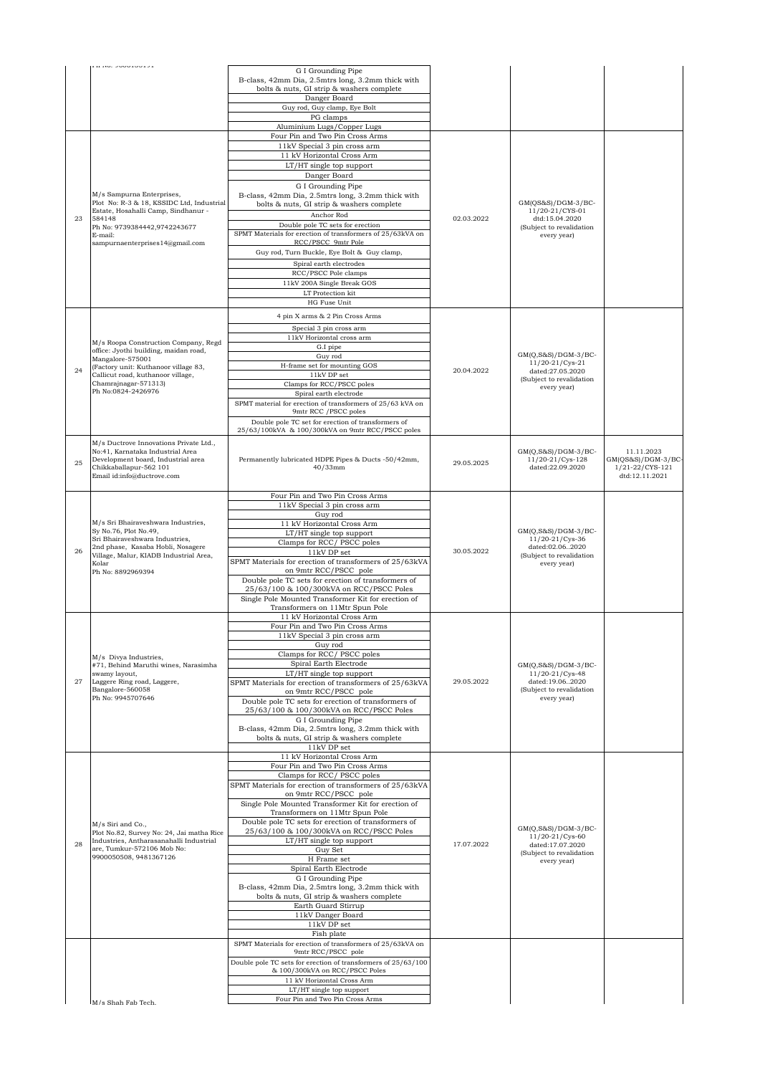|    | <b>I II INU. 2000100121</b>                                                                                                                                                                                |                                                                                                 |            |                                                            |                                   |
|----|------------------------------------------------------------------------------------------------------------------------------------------------------------------------------------------------------------|-------------------------------------------------------------------------------------------------|------------|------------------------------------------------------------|-----------------------------------|
|    |                                                                                                                                                                                                            | G I Grounding Pipe<br>B-class, 42mm Dia, 2.5mtrs long, 3.2mm thick with                         |            |                                                            |                                   |
|    |                                                                                                                                                                                                            | bolts & nuts, GI strip & washers complete                                                       |            |                                                            |                                   |
|    |                                                                                                                                                                                                            | Danger Board<br>Guy rod, Guy clamp, Eye Bolt                                                    |            |                                                            |                                   |
|    |                                                                                                                                                                                                            | PG clamps                                                                                       |            |                                                            |                                   |
|    |                                                                                                                                                                                                            | Aluminium Lugs/Copper Lugs                                                                      |            |                                                            |                                   |
|    |                                                                                                                                                                                                            | Four Pin and Two Pin Cross Arms<br>11kV Special 3 pin cross arm                                 |            |                                                            |                                   |
|    |                                                                                                                                                                                                            | 11 kV Horizontal Cross Arm                                                                      |            |                                                            |                                   |
|    |                                                                                                                                                                                                            | LT/HT single top support                                                                        |            |                                                            |                                   |
|    |                                                                                                                                                                                                            | Danger Board                                                                                    |            |                                                            |                                   |
|    | M/s Sampurna Enterprises,                                                                                                                                                                                  | G I Grounding Pipe<br>B-class, 42mm Dia, 2.5mtrs long, 3.2mm thick with                         |            |                                                            |                                   |
|    | Plot No: R-3 & 18, KSSIDC Ltd, Industrial<br>Estate, Hosahalli Camp, Sindhanur -                                                                                                                           | bolts & nuts, GI strip & washers complete                                                       |            | $GM(QS&S)/DGM-3/BC-$                                       |                                   |
| 23 | 584148                                                                                                                                                                                                     | Anchor Rod                                                                                      | 02.03.2022 | 11/20-21/CYS-01<br>dtd:15.04.2020                          |                                   |
|    | Ph No: 9739384442,9742243677<br>E-mail:                                                                                                                                                                    | Double pole TC sets for erection<br>SPMT Materials for erection of transformers of 25/63kVA on  |            | (Subject to revalidation<br>every year)                    |                                   |
|    | sampurnaenterprises14@gmail.com                                                                                                                                                                            | RCC/PSCC 9mtr Pole                                                                              |            |                                                            |                                   |
|    |                                                                                                                                                                                                            | Guy rod, Turn Buckle, Eye Bolt & Guy clamp,                                                     |            |                                                            |                                   |
|    |                                                                                                                                                                                                            | Spiral earth electrodes<br>RCC/PSCC Pole clamps                                                 |            |                                                            |                                   |
|    |                                                                                                                                                                                                            | 11kV 200A Single Break GOS                                                                      |            |                                                            |                                   |
|    |                                                                                                                                                                                                            | LT Protection kit                                                                               |            |                                                            |                                   |
|    |                                                                                                                                                                                                            | HG Fuse Unit                                                                                    |            |                                                            |                                   |
|    |                                                                                                                                                                                                            | 4 pin X arms & 2 Pin Cross Arms                                                                 |            |                                                            |                                   |
|    |                                                                                                                                                                                                            | Special 3 pin cross arm                                                                         |            |                                                            |                                   |
|    | M/s Roopa Construction Company, Regd                                                                                                                                                                       | 11kV Horizontal cross arm<br>G.I pipe                                                           |            |                                                            |                                   |
|    | office: Jyothi building, maidan road,<br>Mangalore-575001                                                                                                                                                  | Guy rod                                                                                         |            | GM(O,S&S)/DGM-3/BC-                                        |                                   |
| 24 | (Factory unit: Kuthanoor village 83,<br>Callicut road, kuthanoor village,                                                                                                                                  | H-frame set for mounting GOS<br>11kV DP set                                                     | 20.04.2022 | 11/20-21/Cys-21<br>dated:27.05.2020                        |                                   |
|    | Chamrainagar-571313)                                                                                                                                                                                       | Clamps for RCC/PSCC poles                                                                       |            | (Subject to revalidation<br>every year)                    |                                   |
|    | Ph No:0824-2426976                                                                                                                                                                                         | Spiral earth electrode                                                                          |            |                                                            |                                   |
|    |                                                                                                                                                                                                            | SPMT material for erection of transformers of 25/63 kVA on<br>9mtr RCC / PSCC poles             |            |                                                            |                                   |
|    |                                                                                                                                                                                                            | Double pole TC set for erection of transformers of                                              |            |                                                            |                                   |
|    |                                                                                                                                                                                                            | 25/63/100kVA & 100/300kVA on 9mtr RCC/PSCC poles                                                |            |                                                            |                                   |
|    | M/s Ductrove Innovations Private Ltd.,<br>No:41, Karnataka Industrial Area                                                                                                                                 |                                                                                                 |            | $GM(Q,S&S)/DGM-3/BC-$                                      | 11.11.2023                        |
| 25 | Development board, Industrial area                                                                                                                                                                         | Permanently lubricated HDPE Pipes & Ducts -50/42mm,                                             | 29.05.2025 | 11/20-21/Cys-128                                           | $GM(QS&S)/DGM-3/BC-$              |
|    | Chikkaballapur-562 101<br>Email id:info@ductrove.com                                                                                                                                                       | $40/33$ mm                                                                                      |            | dated:22.09.2020                                           | 1/21-22/CYS-121<br>dtd:12.11.2021 |
|    |                                                                                                                                                                                                            |                                                                                                 |            |                                                            |                                   |
|    |                                                                                                                                                                                                            | Four Pin and Two Pin Cross Arms                                                                 |            |                                                            |                                   |
|    | M/s Sri Bhairaveshwara Industries,<br>Sy No.76, Plot No.49,<br>Sri Bhairaveshwara Industries,<br>2nd phase, Kasaba Hobli, Nosagere<br>Village, Malur, KIADB Industrial Area,<br>Kolar<br>Ph No: 8892969394 | 11kV Special 3 pin cross arm<br>Guy rod                                                         |            |                                                            |                                   |
|    |                                                                                                                                                                                                            | 11 kV Horizontal Cross Arm                                                                      |            |                                                            |                                   |
|    |                                                                                                                                                                                                            | LT/HT single top support                                                                        |            | $GM(Q, S&S)/DGM-3/BC-$<br>11/20-21/Cys-36                  |                                   |
| 26 |                                                                                                                                                                                                            | Clamps for RCC/PSCC poles<br>11kV DP set                                                        | 30.05.2022 | dated:02.062020<br>(Subject to revalidation<br>every year) |                                   |
|    |                                                                                                                                                                                                            | SPMT Materials for erection of transformers of 25/63kVA                                         |            |                                                            |                                   |
|    |                                                                                                                                                                                                            | on 9mtr RCC/PSCC pole                                                                           |            |                                                            |                                   |
|    |                                                                                                                                                                                                            | Double pole TC sets for erection of transformers of<br>25/63/100 & 100/300kVA on RCC/PSCC Poles |            |                                                            |                                   |
|    |                                                                                                                                                                                                            | Single Pole Mounted Transformer Kit for erection of                                             |            |                                                            |                                   |
|    |                                                                                                                                                                                                            | Transformers on 11Mtr Spun Pole<br>11 kV Horizontal Cross Arm                                   |            |                                                            |                                   |
|    |                                                                                                                                                                                                            | Four Pin and Two Pin Cross Arms                                                                 |            |                                                            |                                   |
|    |                                                                                                                                                                                                            | 11kV Special 3 pin cross arm                                                                    |            |                                                            |                                   |
|    |                                                                                                                                                                                                            | Guy rod<br>Clamps for RCC/ PSCC poles                                                           |            |                                                            |                                   |
|    | M/s Divya Industries,<br>#71, Behind Maruthi wines, Narasimha                                                                                                                                              | Spiral Earth Electrode                                                                          |            | $GM(Q, S&S)/DGM-3/BC-$                                     |                                   |
| 27 | swamy layout,                                                                                                                                                                                              | LT/HT single top support                                                                        | 29.05.2022 | 11/20-21/Cys-48                                            |                                   |
|    | Laggere Ring road, Laggere,<br>Bangalore-560058                                                                                                                                                            | SPMT Materials for erection of transformers of 25/63kVA<br>on 9mtr RCC/PSCC pole                |            | dated:19.062020<br>(Subject to revalidation                |                                   |
|    | Ph No: 9945707646                                                                                                                                                                                          | Double pole TC sets for erection of transformers of                                             |            | every year)                                                |                                   |
|    |                                                                                                                                                                                                            | 25/63/100 & 100/300kVA on RCC/PSCC Poles<br>G I Grounding Pipe                                  |            |                                                            |                                   |
|    |                                                                                                                                                                                                            | B-class, 42mm Dia, 2.5mtrs long, 3.2mm thick with                                               |            |                                                            |                                   |
|    |                                                                                                                                                                                                            | bolts & nuts, GI strip & washers complete                                                       |            |                                                            |                                   |
|    |                                                                                                                                                                                                            | 11kV DP set<br>11 kV Horizontal Cross Arm                                                       |            |                                                            |                                   |
|    |                                                                                                                                                                                                            | Four Pin and Two Pin Cross Arms                                                                 |            |                                                            |                                   |
|    |                                                                                                                                                                                                            | Clamps for RCC/ PSCC poles<br>SPMT Materials for erection of transformers of 25/63kVA           |            |                                                            |                                   |
|    |                                                                                                                                                                                                            | on 9mtr RCC/PSCC pole                                                                           |            |                                                            |                                   |
|    |                                                                                                                                                                                                            | Single Pole Mounted Transformer Kit for erection of                                             |            |                                                            |                                   |
|    |                                                                                                                                                                                                            | Transformers on 11Mtr Spun Pole<br>Double pole TC sets for erection of transformers of          |            |                                                            |                                   |
|    | M/s Siri and Co.,<br>Plot No.82, Survey No: 24, Jai matha Rice                                                                                                                                             | 25/63/100 & 100/300kVA on RCC/PSCC Poles                                                        |            | $GM(Q,S&S)/DGM-3/BC-$<br>11/20-21/Cys-60                   |                                   |
| 28 | Industries, Antharasanahalli Industrial<br>are, Tumkur-572106 Mob No:                                                                                                                                      | LT/HT single top support                                                                        | 17.07.2022 | dated:17.07.2020                                           |                                   |
|    | 9900050508, 9481367126                                                                                                                                                                                     | Guy Set<br>H Frame set                                                                          |            | (Subject to revalidation<br>every year)                    |                                   |
|    |                                                                                                                                                                                                            | Spiral Earth Electrode                                                                          |            |                                                            |                                   |
|    |                                                                                                                                                                                                            | G I Grounding Pipe<br>B-class, 42mm Dia, 2.5mtrs long, 3.2mm thick with                         |            |                                                            |                                   |
|    |                                                                                                                                                                                                            | bolts & nuts, GI strip & washers complete                                                       |            |                                                            |                                   |
|    |                                                                                                                                                                                                            | Earth Guard Stirrup                                                                             |            |                                                            |                                   |
|    |                                                                                                                                                                                                            | 11kV Danger Board<br>11kV DP set                                                                |            |                                                            |                                   |
|    |                                                                                                                                                                                                            | Fish plate                                                                                      |            |                                                            |                                   |
|    |                                                                                                                                                                                                            | SPMT Materials for erection of transformers of 25/63kVA on<br>9mtr RCC/PSCC pole                |            |                                                            |                                   |
|    |                                                                                                                                                                                                            | Double pole TC sets for erection of transformers of 25/63/100                                   |            |                                                            |                                   |
|    |                                                                                                                                                                                                            | & 100/300kVA on RCC/PSCC Poles                                                                  |            |                                                            |                                   |
|    |                                                                                                                                                                                                            | 11 kV Horizontal Cross Arm<br>LT/HT single top support                                          |            |                                                            |                                   |
|    | M/s Shah Fab Tech                                                                                                                                                                                          | Four Pin and Two Pin Cross Arms                                                                 |            |                                                            |                                   |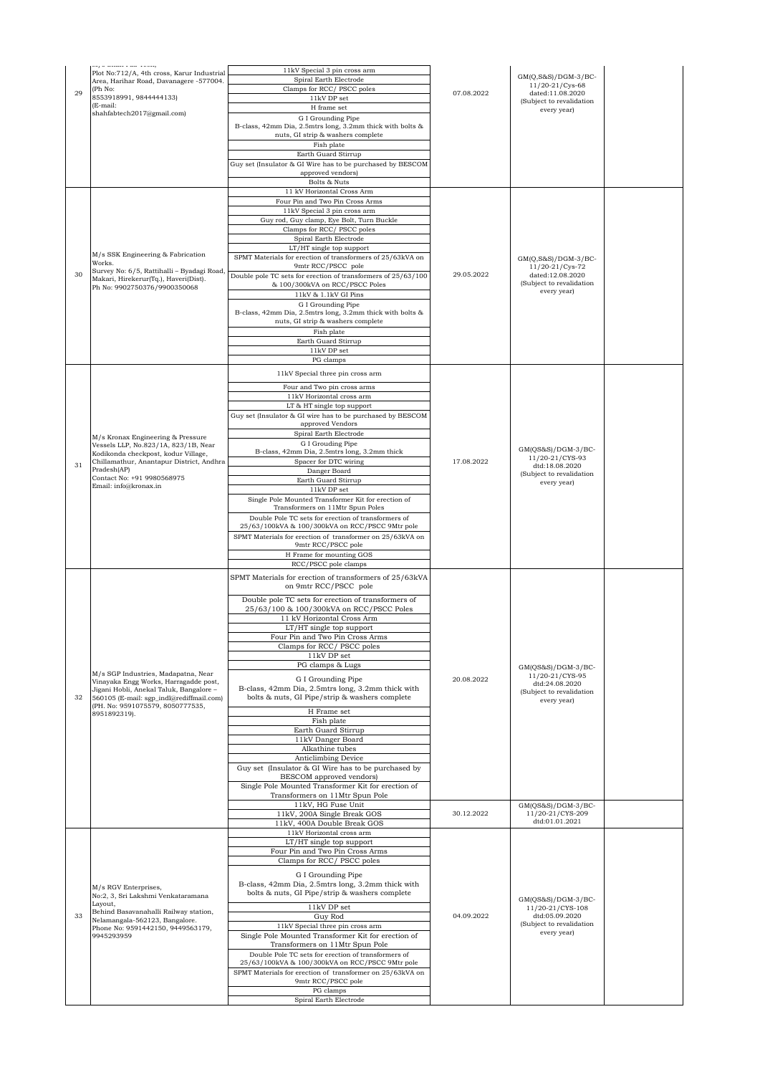|    | $m_f$ o onan i ao iven,<br>Plot No:712/A, 4th cross, Karur Industrial<br>Area, Harihar Road, Davanagere -577004. | 11kV Special 3 pin cross arm<br>Spiral Earth Electrode                                                       |            | GM(Q,S&S)/DGM-3/BC-                          |  |
|----|------------------------------------------------------------------------------------------------------------------|--------------------------------------------------------------------------------------------------------------|------------|----------------------------------------------|--|
| 29 | (Ph No:<br>8553918991, 9844444133)                                                                               | Clamps for RCC/PSCC poles<br>11kV DP set                                                                     | 07.08.2022 | 11/20-21/Cys-68<br>dated:11.08.2020          |  |
|    | (E-mail:<br>shahfabtech2017@gmail.com)                                                                           | H frame set                                                                                                  |            | (Subject to revalidation<br>every year)      |  |
|    |                                                                                                                  | G I Grounding Pipe<br>B-class, 42mm Dia, 2.5mtrs long, 3.2mm thick with bolts &                              |            |                                              |  |
|    |                                                                                                                  | nuts, GI strip & washers complete                                                                            |            |                                              |  |
|    |                                                                                                                  | Fish plate<br>Earth Guard Stirrup                                                                            |            |                                              |  |
|    |                                                                                                                  | Guy set (Insulator & GI Wire has to be purchased by BESCOM                                                   |            |                                              |  |
|    |                                                                                                                  | approved vendors)<br>Bolts & Nuts                                                                            |            |                                              |  |
|    |                                                                                                                  | 11 kV Horizontal Cross Arm                                                                                   |            |                                              |  |
|    |                                                                                                                  | Four Pin and Two Pin Cross Arms<br>11kV Special 3 pin cross arm                                              |            |                                              |  |
|    |                                                                                                                  | Guy rod, Guy clamp, Eye Bolt, Turn Buckle<br>Clamps for RCC/PSCC poles                                       |            |                                              |  |
|    |                                                                                                                  | Spiral Earth Electrode                                                                                       |            |                                              |  |
|    | M/s SSK Engineering & Fabrication                                                                                | LT/HT single top support<br>SPMT Materials for erection of transformers of 25/63kVA on                       |            |                                              |  |
|    | Works.<br>Survey No: 6/5, Rattihalli - Byadagi Road                                                              | 9mtr RCC/PSCC pole                                                                                           |            | $GM(Q, S&S)/DGM-3/BC-$<br>11/20-21/Cys-72    |  |
| 30 | Makari, Hirekerur(Tq.), Haveri(Dist).<br>Ph No: 9902750376/9900350068                                            | Double pole TC sets for erection of transformers of 25/63/100<br>& 100/300kVA on RCC/PSCC Poles              | 29.05.2022 | dated:12.08.2020<br>(Subject to revalidation |  |
|    |                                                                                                                  | 11kV & 1.1kV GI Pins                                                                                         |            | every year)                                  |  |
|    |                                                                                                                  | G I Grounding Pipe<br>B-class, 42mm Dia, 2.5mtrs long, 3.2mm thick with bolts &                              |            |                                              |  |
|    |                                                                                                                  | nuts, GI strip & washers complete                                                                            |            |                                              |  |
|    |                                                                                                                  | Fish plate<br>Earth Guard Stirrup                                                                            |            |                                              |  |
|    |                                                                                                                  | $11\mathrm{kV}$ DP set                                                                                       |            |                                              |  |
|    |                                                                                                                  | PG clamps                                                                                                    |            |                                              |  |
|    |                                                                                                                  | 11kV Special three pin cross arm<br>Four and Two pin cross arms                                              |            |                                              |  |
|    |                                                                                                                  | 11kV Horizontal cross arm                                                                                    |            |                                              |  |
|    |                                                                                                                  | LT & HT single top support<br>Guy set (Insulator & GI wire has to be purchased by BESCOM                     |            |                                              |  |
|    |                                                                                                                  | approved Vendors                                                                                             |            |                                              |  |
|    | M/s Kronax Engineering & Pressure<br>Vessels LLP, No.823/1A, 823/1B, Near                                        | Spiral Earth Electrode<br>G I Grouding Pipe                                                                  |            |                                              |  |
|    | Kodikonda checkpost, kodur Village,                                                                              | B-class, 42mm Dia, 2.5mtrs long, 3.2mm thick                                                                 |            | GM(QS&S)/DGM-3/BC-<br>11/20-21/CYS-93        |  |
| 31 | Chillamathur, Anantapur District, Andhra<br>Pradesh(AP)                                                          | Spacer for DTC wiring<br>Danger Board                                                                        | 17.08.2022 | dtd:18.08.2020<br>(Subject to revalidation   |  |
|    | Contact No: +91 9980568975<br>Email: info@kronax.in                                                              | Earth Guard Stirrup<br>11kV DP set                                                                           |            | every year)                                  |  |
|    |                                                                                                                  | Single Pole Mounted Transformer Kit for erection of<br>Transformers on 11Mtr Spun Poles                      |            |                                              |  |
|    |                                                                                                                  | Double Pole TC sets for erection of transformers of                                                          |            |                                              |  |
|    |                                                                                                                  | 25/63/100kVA & 100/300kVA on RCC/PSCC 9Mtr pole<br>SPMT Materials for erection of transformer on 25/63kVA on |            |                                              |  |
|    |                                                                                                                  | 9mtr RCC/PSCC pole                                                                                           |            |                                              |  |
|    |                                                                                                                  | H Frame for mounting GOS<br>RCC/PSCC pole clamps                                                             |            |                                              |  |
|    |                                                                                                                  | SPMT Materials for erection of transformers of 25/63kVA<br>on 9mtr RCC/PSCC pole                             |            |                                              |  |
|    |                                                                                                                  | Double pole TC sets for erection of transformers of                                                          |            |                                              |  |
|    |                                                                                                                  | 25/63/100 & 100/300kVA on RCC/PSCC Poles<br>11 kV Horizontal Cross Arm                                       |            |                                              |  |
|    |                                                                                                                  | LT/HT single top support                                                                                     |            |                                              |  |
|    |                                                                                                                  | Four Pin and Two Pin Cross Arms<br>Clamps for RCC/ PSCC poles                                                |            |                                              |  |
|    |                                                                                                                  | 11kV DP set<br>PG clamps & Lugs                                                                              |            |                                              |  |
|    | M/s SGP Industries, Madapatna, Near                                                                              | G I Grounding Pipe                                                                                           | 20.08.2022 | $GM(QS&S)/DGM-3/BC-$<br>11/20-21/CYS-95      |  |
|    | Vinayaka Engg Works, Harragadde post,<br>Jigani Hobli, Anekal Taluk, Bangalore -                                 | B-class, 42mm Dia, 2.5mtrs long, 3.2mm thick with                                                            |            | dtd:24.08.2020<br>(Subject to revalidation   |  |
| 32 | 560105 (E-mail: sgp indl@rediffmail.com)<br>(PH. No: 9591075579, 8050777535,                                     | bolts & nuts, GI Pipe/strip & washers complete                                                               |            | every year)                                  |  |
|    | 8951892319).                                                                                                     | H Frame set<br>Fish plate                                                                                    |            |                                              |  |
|    |                                                                                                                  | Earth Guard Stirrup                                                                                          |            |                                              |  |
|    |                                                                                                                  | 11kV Danger Board<br>Alkathine tubes                                                                         |            |                                              |  |
|    |                                                                                                                  | Anticlimbing Device<br>Guy set (Insulator & GI Wire has to be purchased by                                   |            |                                              |  |
|    |                                                                                                                  | BESCOM approved vendors)                                                                                     |            |                                              |  |
|    |                                                                                                                  | Single Pole Mounted Transformer Kit for erection of<br>Transformers on 11Mtr Spun Pole                       |            |                                              |  |
|    |                                                                                                                  | 11kV, HG Fuse Unit                                                                                           |            | $GM(QS&S)/DGM-3/BC-$                         |  |
|    |                                                                                                                  | 11kV, 200A Single Break GOS<br>11kV, 400A Double Break GOS                                                   | 30.12.2022 | 11/20-21/CYS-209<br>dtd:01.01.2021           |  |
|    |                                                                                                                  | 11kV Horizontal cross arm                                                                                    |            |                                              |  |
|    |                                                                                                                  | LT/HT single top support<br>Four Pin and Two Pin Cross Arms                                                  |            |                                              |  |
|    |                                                                                                                  | Clamps for RCC/ PSCC poles                                                                                   |            |                                              |  |
|    |                                                                                                                  | G I Grounding Pipe<br>B-class, 42mm Dia, 2.5mtrs long, 3.2mm thick with                                      |            |                                              |  |
|    | M/s RGV Enterprises,<br>No:2, 3, Sri Lakshmi Venkataramana                                                       | bolts & nuts, GI Pipe/strip & washers complete                                                               |            | $GM(QS&S)/DGM-3/BC-$                         |  |
|    | Layout.<br>Behind Basavanahalli Railway station,                                                                 | $11\mathrm{kV}$ DP set                                                                                       |            | 11/20-21/CYS-108                             |  |
| 33 | Nelamangala-562123, Bangalore.<br>Phone No: 9591442150, 9449563179,                                              | Guy Rod<br>11kV Special three pin cross arm                                                                  | 04.09.2022 | dtd:05.09.2020<br>(Subject to revalidation   |  |
|    | 9945293959                                                                                                       | Single Pole Mounted Transformer Kit for erection of<br>Transformers on 11Mtr Spun Pole                       |            | every year)                                  |  |
|    |                                                                                                                  | Double Pole TC sets for erection of transformers of                                                          |            |                                              |  |
|    |                                                                                                                  | 25/63/100kVA & 100/300kVA on RCC/PSCC 9Mtr pole<br>SPMT Materials for erection of transformer on 25/63kVA on |            |                                              |  |
|    |                                                                                                                  | 9mtr RCC/PSCC pole                                                                                           |            |                                              |  |
|    |                                                                                                                  | PG clamps<br>Spiral Earth Electrode                                                                          |            |                                              |  |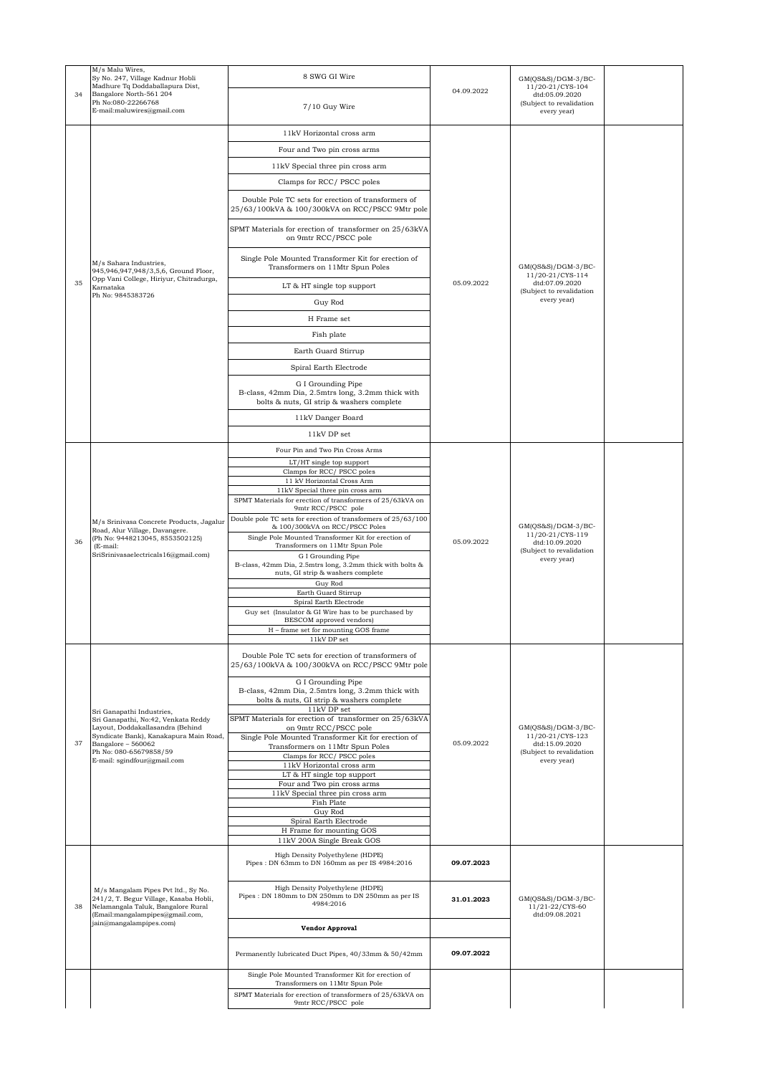|    | M/s Malu Wires,<br>Sy No. 247, Village Kadnur Hobli<br>Madhure Tq Doddaballapura Dist,                                                                            | 8 SWG GI Wire                                                                                                        |            | $GM(QS&S)/DGM-3/BC-$<br>11/20-21/CYS-104                  |  |
|----|-------------------------------------------------------------------------------------------------------------------------------------------------------------------|----------------------------------------------------------------------------------------------------------------------|------------|-----------------------------------------------------------|--|
| 34 | Bangalore North-561 204<br>Ph No:080-22266768<br>E-mail:maluwires@gmail.com                                                                                       | 7/10 Guy Wire                                                                                                        | 04.09.2022 | dtd:05.09.2020<br>(Subject to revalidation<br>every year) |  |
|    |                                                                                                                                                                   | 11kV Horizontal cross arm                                                                                            |            |                                                           |  |
|    |                                                                                                                                                                   | Four and Two pin cross arms                                                                                          |            |                                                           |  |
|    |                                                                                                                                                                   | 11kV Special three pin cross arm                                                                                     |            |                                                           |  |
|    |                                                                                                                                                                   | Clamps for RCC/ PSCC poles                                                                                           |            |                                                           |  |
|    |                                                                                                                                                                   | Double Pole TC sets for erection of transformers of<br>25/63/100kVA & 100/300kVA on RCC/PSCC 9Mtr pole               |            |                                                           |  |
|    |                                                                                                                                                                   | SPMT Materials for erection of transformer on 25/63kVA<br>on 9mtr RCC/PSCC pole                                      |            |                                                           |  |
|    | M/s Sahara Industries,<br>945,946,947,948/3,5,6, Ground Floor,                                                                                                    | Single Pole Mounted Transformer Kit for erection of<br>Transformers on 11Mtr Spun Poles                              |            | $GM(QS&S)/DGM-3/BC-$<br>11/20-21/CYS-114                  |  |
| 35 | Opp Vani College, Hiriyur, Chitradurga,<br>Karnataka                                                                                                              | LT & HT single top support                                                                                           | 05.09.2022 | dtd:07.09.2020<br>(Subject to revalidation                |  |
|    | Ph No: 9845383726                                                                                                                                                 | Guy Rod                                                                                                              |            | every year)                                               |  |
|    |                                                                                                                                                                   | H Frame set                                                                                                          |            |                                                           |  |
|    |                                                                                                                                                                   | Fish plate                                                                                                           |            |                                                           |  |
|    |                                                                                                                                                                   | Earth Guard Stirrup                                                                                                  |            |                                                           |  |
|    |                                                                                                                                                                   | Spiral Earth Electrode                                                                                               |            |                                                           |  |
|    |                                                                                                                                                                   | G I Grounding Pipe                                                                                                   |            |                                                           |  |
|    |                                                                                                                                                                   | B-class, 42mm Dia, 2.5mtrs long, 3.2mm thick with<br>bolts & nuts, GI strip & washers complete                       |            |                                                           |  |
|    |                                                                                                                                                                   | 11kV Danger Board                                                                                                    |            |                                                           |  |
|    |                                                                                                                                                                   | 11kV DP set                                                                                                          |            |                                                           |  |
|    |                                                                                                                                                                   | Four Pin and Two Pin Cross Arms                                                                                      |            |                                                           |  |
|    |                                                                                                                                                                   | LT/HT single top support<br>Clamps for RCC/PSCC poles                                                                |            |                                                           |  |
|    | M/s Srinivasa Concrete Products, Jagalur<br>Road, Alur Village, Davangere.<br>(Ph No: 9448213045, 8553502125)<br>(E-mail:<br>SriSrinivasaelectricals16@gmail.com) | 11 kV Horizontal Cross Arm<br>11kV Special three pin cross arm                                                       |            |                                                           |  |
|    |                                                                                                                                                                   | SPMT Materials for erection of transformers of 25/63kVA on                                                           |            |                                                           |  |
|    |                                                                                                                                                                   | 9mtr RCC/PSCC pole<br>Double pole TC sets for erection of transformers of 25/63/100                                  |            |                                                           |  |
|    |                                                                                                                                                                   | & 100/300kVA on RCC/PSCC Poles<br>Single Pole Mounted Transformer Kit for erection of                                |            | $GM(QS&S)/DGM-3/BC-$<br>11/20-21/CYS-119                  |  |
| 36 |                                                                                                                                                                   | Transformers on 11Mtr Spun Pole                                                                                      | 05.09.2022 | dtd:10.09.2020<br>(Subject to revalidation                |  |
|    |                                                                                                                                                                   | G I Grounding Pipe<br>B-class, 42mm Dia, 2.5mtrs long, 3.2mm thick with bolts &<br>nuts, GI strip & washers complete |            | every year)                                               |  |
|    |                                                                                                                                                                   | Guy Rod<br>Earth Guard Stirrup                                                                                       |            |                                                           |  |
|    |                                                                                                                                                                   | Spiral Earth Electrode<br>Guy set (Insulator & GI Wire has to be purchased by                                        |            |                                                           |  |
|    |                                                                                                                                                                   | BESCOM approved vendors)                                                                                             |            |                                                           |  |
|    |                                                                                                                                                                   | H - frame set for mounting GOS frame<br>11kV DP set                                                                  |            |                                                           |  |
|    |                                                                                                                                                                   | Double Pole TC sets for erection of transformers of<br>25/63/100kVA & 100/300kVA on RCC/PSCC 9Mtr pole               |            |                                                           |  |
|    |                                                                                                                                                                   | G I Grounding Pipe<br>B-class, 42mm Dia, 2.5mtrs long, 3.2mm thick with                                              |            |                                                           |  |
|    |                                                                                                                                                                   | bolts & nuts, GI strip & washers complete                                                                            |            |                                                           |  |
|    | Sri Ganapathi Industries,<br>Sri Ganapathi, No:42, Venkata Reddy                                                                                                  | 11kV DP set<br>SPMT Materials for erection of transformer on 25/63kVA                                                |            |                                                           |  |
|    | Layout, Doddakallasandra (Behind<br>Syndicate Bank), Kanakapura Main Road,                                                                                        | on 9mtr RCC/PSCC pole<br>Single Pole Mounted Transformer Kit for erection of                                         |            | $GM(QS&S)/DGM-3/BC-$<br>11/20-21/CYS-123                  |  |
| 37 | Bangalore - 560062<br>Ph No: 080-65679858/59                                                                                                                      | Transformers on 11Mtr Spun Poles                                                                                     | 05.09.2022 | dtd:15.09.2020<br>(Subject to revalidation                |  |
|    | E-mail: sgindfour@gmail.com                                                                                                                                       | Clamps for RCC/PSCC poles<br>11kV Horizontal cross arm                                                               |            | every year)                                               |  |
|    |                                                                                                                                                                   | LT & HT single top support<br>Four and Two pin cross arms                                                            |            |                                                           |  |
|    |                                                                                                                                                                   | 11kV Special three pin cross arm                                                                                     |            |                                                           |  |
|    |                                                                                                                                                                   | Fish Plate<br>Guy Rod                                                                                                |            |                                                           |  |
|    |                                                                                                                                                                   | Spiral Earth Electrode<br>H Frame for mounting GOS                                                                   |            |                                                           |  |
|    |                                                                                                                                                                   | 11kV 200A Single Break GOS                                                                                           |            |                                                           |  |
|    |                                                                                                                                                                   | High Density Polyethylene (HDPE)<br>Pipes: DN 63mm to DN 160mm as per IS 4984:2016                                   | 09.07.2023 |                                                           |  |
| 38 | M/s Mangalam Pipes Pvt ltd., Sy No.<br>241/2, T. Begur Village, Kasaba Hobli,<br>Nelamangala Taluk, Bangalore Rural<br>(Email:mangalampipes@gmail.com,            | High Density Polyethylene (HDPE)<br>Pipes: DN 180mm to DN 250mm to DN 250mm as per IS<br>4984:2016                   | 31.01.2023 | $GM(QS&S)/DGM-3/BC-$<br>11/21-22/CYS-60<br>dtd:09.08.2021 |  |
|    | jain@mangalampipes.com)                                                                                                                                           | <b>Vendor Approval</b>                                                                                               |            |                                                           |  |
|    |                                                                                                                                                                   | Permanently lubricated Duct Pipes, 40/33mm & 50/42mm                                                                 | 09.07.2022 |                                                           |  |
|    |                                                                                                                                                                   | Single Pole Mounted Transformer Kit for erection of                                                                  |            |                                                           |  |
|    |                                                                                                                                                                   | Transformers on 11Mtr Spun Pole<br>SPMT Materials for erection of transformers of 25/63kVA on                        |            |                                                           |  |
|    |                                                                                                                                                                   | 9mtr RCC/PSCC pole                                                                                                   |            |                                                           |  |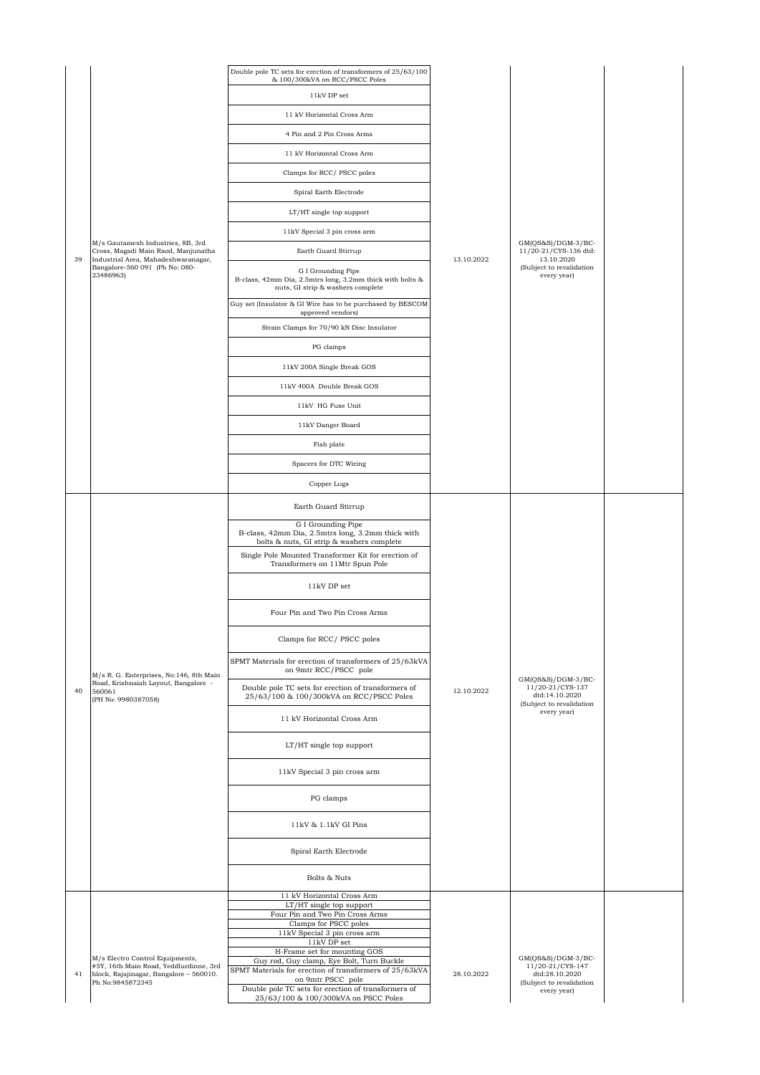|    |                                                                                    | Double pole TC sets for erection of transformers of 25/63/100<br>& 100/300kVA on RCC/PSCC Poles                                     |            |                                                                                                       |  |
|----|------------------------------------------------------------------------------------|-------------------------------------------------------------------------------------------------------------------------------------|------------|-------------------------------------------------------------------------------------------------------|--|
|    |                                                                                    | 11kV DP set                                                                                                                         |            |                                                                                                       |  |
|    |                                                                                    | 11 kV Horizontal Cross Arm                                                                                                          |            |                                                                                                       |  |
|    |                                                                                    | 4 Pin and 2 Pin Cross Arms                                                                                                          |            |                                                                                                       |  |
|    |                                                                                    | 11 kV Horizontal Cross Arm                                                                                                          |            |                                                                                                       |  |
|    |                                                                                    | Clamps for RCC/PSCC poles                                                                                                           |            |                                                                                                       |  |
|    |                                                                                    | Spiral Earth Electrode                                                                                                              |            |                                                                                                       |  |
|    |                                                                                    | LT/HT single top support                                                                                                            |            |                                                                                                       |  |
|    |                                                                                    | 11kV Special 3 pin cross arm                                                                                                        |            |                                                                                                       |  |
|    | M/s Gautamesh Industries, 8B, 3rd<br>Cross, Magadi Main Raod, Manjunatha           | Earth Guard Stirrup                                                                                                                 |            | $GM(QS&S)/DGM-3/BC-$<br>11/20-21/CYS-136 dtd:                                                         |  |
| 39 | Industrial Area, Mahadeshwaranagar,<br>Bangalore-560 091 (Ph No: 080-<br>23486963) | G I Grounding Pipe<br>B-class, 42mm Dia, 2.5mtrs long, 3.2mm thick with bolts &<br>nuts, GI strip & washers complete                | 13.10.2022 | 13.10.2020<br>(Subject to revalidation<br>every year)                                                 |  |
|    |                                                                                    | Guy set (Insulator & GI Wire has to be purchased by BESCOM                                                                          |            |                                                                                                       |  |
|    |                                                                                    | approved vendors)<br>Strain Clamps for 70/90 kN Disc Insulator                                                                      |            |                                                                                                       |  |
|    |                                                                                    | PG clamps                                                                                                                           |            |                                                                                                       |  |
|    |                                                                                    | 11kV 200A Single Break GOS                                                                                                          |            |                                                                                                       |  |
|    |                                                                                    | 11kV 400A Double Break GOS                                                                                                          |            |                                                                                                       |  |
|    |                                                                                    | 11kV HG Fuse Unit                                                                                                                   |            |                                                                                                       |  |
|    |                                                                                    | 11kV Danger Board                                                                                                                   |            |                                                                                                       |  |
|    |                                                                                    | Fish plate                                                                                                                          |            |                                                                                                       |  |
|    |                                                                                    | Spacers for DTC Wiring                                                                                                              |            |                                                                                                       |  |
|    |                                                                                    | Copper Lugs                                                                                                                         |            |                                                                                                       |  |
|    |                                                                                    | Earth Guard Stirrup                                                                                                                 |            |                                                                                                       |  |
|    |                                                                                    | G I Grounding Pipe<br>B-class, 42mm Dia, 2.5mtrs long, 3.2mm thick with                                                             |            |                                                                                                       |  |
|    |                                                                                    | bolts & nuts, GI strip & washers complete<br>Single Pole Mounted Transformer Kit for erection of<br>Transformers on 11Mtr Spun Pole |            |                                                                                                       |  |
|    |                                                                                    | 11kV DP set                                                                                                                         |            |                                                                                                       |  |
|    |                                                                                    | Four Pin and Two Pin Cross Arms                                                                                                     |            | $GM(QS&S)/DGM-3/BC-$<br>11/20-21/CYS-137<br>dtd:14.10.2020<br>(Subject to revalidation<br>every year) |  |
|    |                                                                                    | Clamps for RCC/ PSCC poles                                                                                                          |            |                                                                                                       |  |
|    | M/s R. G. Enterprises, No:146, 8th Main                                            | SPMT Materials for erection of transformers of 25/63kVA<br>on 9mtr RCC/PSCC pole                                                    |            |                                                                                                       |  |
| 40 | Road, Krishnaiah Layout, Bangalore -<br>560061<br>(PH No: 9980387058)              | Double pole TC sets for erection of transformers of<br>25/63/100 & 100/300kVA on RCC/PSCC Poles                                     | 12.10.2022 |                                                                                                       |  |
|    |                                                                                    | 11 kV Horizontal Cross Arm                                                                                                          |            |                                                                                                       |  |
|    |                                                                                    | LT/HT single top support                                                                                                            |            |                                                                                                       |  |
|    |                                                                                    | 11kV Special 3 pin cross arm                                                                                                        |            |                                                                                                       |  |
|    |                                                                                    | PG clamps                                                                                                                           |            |                                                                                                       |  |
|    |                                                                                    | 11kV & 1.1kV GI Pins                                                                                                                |            |                                                                                                       |  |
|    |                                                                                    | Spiral Earth Electrode                                                                                                              |            |                                                                                                       |  |
|    |                                                                                    | Bolts & Nuts                                                                                                                        |            |                                                                                                       |  |
|    |                                                                                    | 11 kV Horizontal Cross Arm<br>LT/HT single top support<br>Four Pin and Two Pin Cross Arms                                           |            |                                                                                                       |  |
|    |                                                                                    | Clamps for PSCC poles<br>11kV Special 3 pin cross arm                                                                               |            |                                                                                                       |  |
|    |                                                                                    | 11kV DP set                                                                                                                         |            |                                                                                                       |  |
|    | M/s Electro Control Equipments,<br>#5Y, 16th Main Road, Yeddlurdinne, 3rd          | H-Frame set for mounting GOS<br>Guy rod, Guy clamp, Eye Bolt, Turn Buckle                                                           |            | $GM(QS&S)/DGM-3/BC-$<br>11/20-21/CYS-147                                                              |  |
| 41 | block, Rajajinagar, Bangalore - 560010.<br>Ph No:9845872345                        | SPMT Materials for erection of transformers of 25/63kVA<br>on 9mtr PSCC pole                                                        | 28.10.2022 | dtd:28.10.2020<br>(Subject to revalidation                                                            |  |
|    |                                                                                    | Double pole TC sets for erection of transformers of<br>25/63/100 & 100/300kVA on PSCC Poles                                         |            | every year)                                                                                           |  |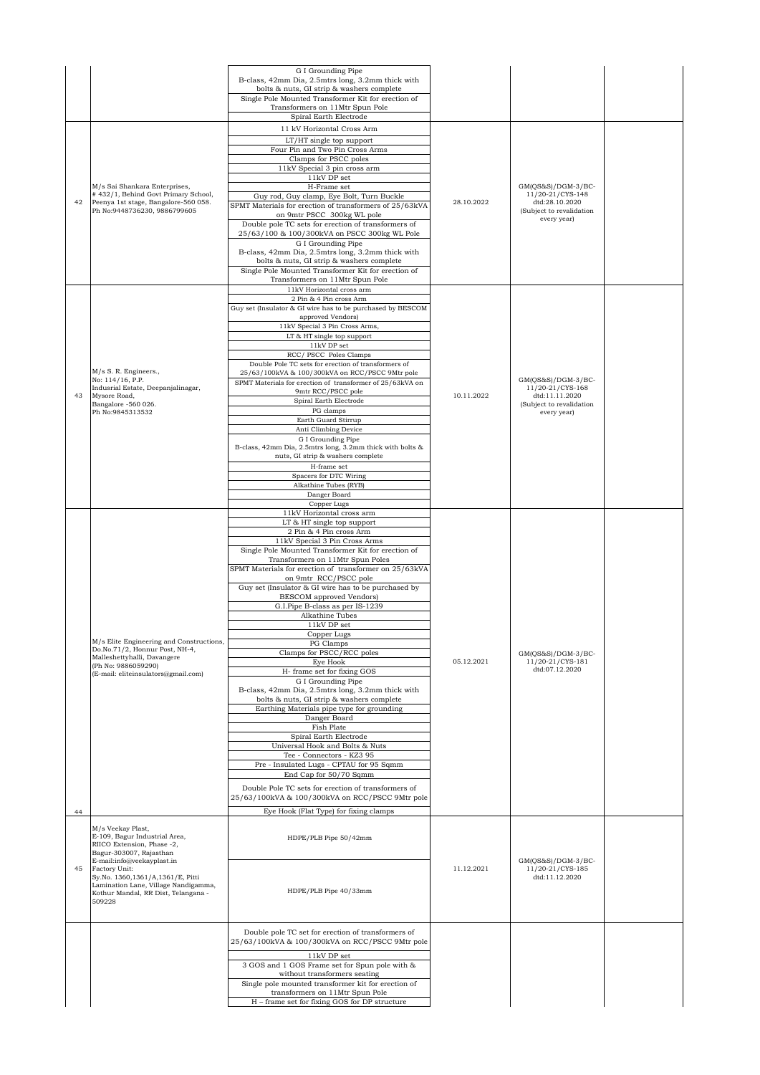|    |                                                                             | G I Grounding Pipe                                                                             |            |                                    |  |
|----|-----------------------------------------------------------------------------|------------------------------------------------------------------------------------------------|------------|------------------------------------|--|
|    |                                                                             | B-class, 42mm Dia, 2.5mtrs long, 3.2mm thick with                                              |            |                                    |  |
|    |                                                                             | bolts & nuts, GI strip & washers complete                                                      |            |                                    |  |
|    |                                                                             | Single Pole Mounted Transformer Kit for erection of                                            |            |                                    |  |
|    |                                                                             | Transformers on 11Mtr Spun Pole                                                                |            |                                    |  |
|    |                                                                             | Spiral Earth Electrode                                                                         |            |                                    |  |
|    |                                                                             | 11 kV Horizontal Cross Arm                                                                     |            |                                    |  |
|    |                                                                             | LT/HT single top support                                                                       |            |                                    |  |
|    |                                                                             | Four Pin and Two Pin Cross Arms                                                                |            |                                    |  |
|    |                                                                             | Clamps for PSCC poles                                                                          |            |                                    |  |
|    |                                                                             | 11kV Special 3 pin cross arm                                                                   |            |                                    |  |
|    |                                                                             | 11kV DP set                                                                                    |            |                                    |  |
|    | M/s Sai Shankara Enterprises,                                               | H-Frame set                                                                                    |            | $GM(QS&S)/DGM-3/BC-$               |  |
| 42 | #432/1, Behind Govt Primary School,<br>Peenya 1st stage, Bangalore-560 058. | Guy rod, Guy clamp, Eye Bolt, Turn Buckle                                                      | 28.10.2022 | 11/20-21/CYS-148<br>dtd:28.10.2020 |  |
|    | Ph No:9448736230, 9886799605                                                | SPMT Materials for erection of transformers of 25/63kVA                                        |            | (Subject to revalidation           |  |
|    |                                                                             | on 9mtr PSCC 300kg WL pole                                                                     |            | every year)                        |  |
|    |                                                                             | Double pole TC sets for erection of transformers of                                            |            |                                    |  |
|    |                                                                             | 25/63/100 & 100/300kVA on PSCC 300kg WL Pole                                                   |            |                                    |  |
|    |                                                                             | G I Grounding Pipe                                                                             |            |                                    |  |
|    |                                                                             | B-class, 42mm Dia, 2.5mtrs long, 3.2mm thick with<br>bolts & nuts, GI strip & washers complete |            |                                    |  |
|    |                                                                             | Single Pole Mounted Transformer Kit for erection of                                            |            |                                    |  |
|    |                                                                             | Transformers on 11Mtr Spun Pole                                                                |            |                                    |  |
|    |                                                                             | 11kV Horizontal cross arm                                                                      |            |                                    |  |
|    |                                                                             | 2 Pin & 4 Pin cross Arm                                                                        |            |                                    |  |
|    |                                                                             | Guy set (Insulator & GI wire has to be purchased by BESCOM                                     |            |                                    |  |
|    |                                                                             | approved Vendors)                                                                              |            |                                    |  |
|    |                                                                             | 11kV Special 3 Pin Cross Arms,                                                                 |            |                                    |  |
|    |                                                                             | LT & HT single top support                                                                     |            |                                    |  |
|    |                                                                             | $11\mathrm{kV}$ DP set                                                                         |            |                                    |  |
|    |                                                                             | RCC/ PSCC Poles Clamps                                                                         |            |                                    |  |
|    | M/s S. R. Engineers.,                                                       | Double Pole TC sets for erection of transformers of                                            |            |                                    |  |
|    | No: 114/16, P.P.                                                            | 25/63/100kVA & 100/300kVA on RCC/PSCC 9Mtr pole                                                |            | $GM(QS&S)/DGM-3/BC-$               |  |
|    | Indusrial Estate, Deepanjalinagar,                                          | SPMT Materials for erection of transformer of 25/63kVA on<br>9mtr RCC/PSCC pole                |            | 11/20-21/CYS-168                   |  |
| 43 | Mysore Road,                                                                | Spiral Earth Electrode                                                                         | 10.11.2022 | dtd:11.11.2020                     |  |
|    | Bangalore -560 026.                                                         | PG clamps                                                                                      |            | (Subject to revalidation           |  |
|    | Ph No:9845313532                                                            | Earth Guard Stirrup                                                                            |            | every year)                        |  |
|    |                                                                             | Anti Climbing Device                                                                           |            |                                    |  |
|    |                                                                             | G I Grounding Pipe                                                                             |            |                                    |  |
|    |                                                                             | B-class, 42mm Dia, 2.5mtrs long, 3.2mm thick with bolts &                                      |            |                                    |  |
|    |                                                                             | nuts, GI strip & washers complete                                                              |            |                                    |  |
|    |                                                                             | H-frame set                                                                                    |            |                                    |  |
|    |                                                                             | Spacers for DTC Wiring                                                                         |            |                                    |  |
|    |                                                                             | Alkathine Tubes (RYB)                                                                          |            |                                    |  |
|    |                                                                             | Danger Board                                                                                   |            |                                    |  |
|    |                                                                             | Copper Lugs                                                                                    |            |                                    |  |
|    |                                                                             | 11kV Horizontal cross arm                                                                      |            |                                    |  |
|    |                                                                             | LT & HT single top support                                                                     |            |                                    |  |
|    |                                                                             | 2 Pin & 4 Pin cross Arm                                                                        |            |                                    |  |
|    |                                                                             | 11kV Special 3 Pin Cross Arms                                                                  |            |                                    |  |
|    |                                                                             | Single Pole Mounted Transformer Kit for erection of                                            |            |                                    |  |
|    |                                                                             | Transformers on 11Mtr Spun Poles<br>SPMT Materials for erection of transformer on 25/63kVA     |            |                                    |  |
|    |                                                                             | on 9mtr RCC/PSCC pole                                                                          |            |                                    |  |
|    |                                                                             | Guy set (Insulator & GI wire has to be purchased by                                            |            |                                    |  |
|    |                                                                             | <b>BESCOM</b> approved Vendors)                                                                |            |                                    |  |
|    |                                                                             | G.I.Pipe B-class as per IS-1239                                                                |            |                                    |  |
|    |                                                                             | Alkathine Tubes                                                                                |            |                                    |  |
|    |                                                                             | $11\mathrm{kV}$ DP set                                                                         |            |                                    |  |
|    |                                                                             | Copper Lug                                                                                     |            |                                    |  |
|    | M/s Elite Engineering and Constructions,                                    | PG Clamps                                                                                      |            |                                    |  |
|    | Do.No.71/2, Honnur Post, NH-4,<br>Malleshettyhalli, Davangere               | Clamps for PSCC/RCC poles                                                                      |            | $GM(OS&S)/DGM-3/BC-$               |  |
|    | (Ph No: 9886059290)                                                         | Eye Hook                                                                                       | 05.12.2021 | 11/20-21/CYS-181                   |  |
|    | (E-mail: eliteinsulators@gmail.com)                                         | H- frame set for fixing GOS                                                                    |            | dtd:07.12.2020                     |  |
|    |                                                                             | G I Grounding Pipe                                                                             |            |                                    |  |
|    |                                                                             | B-class, 42mm Dia, 2.5mtrs long, 3.2mm thick with                                              |            |                                    |  |
|    |                                                                             | bolts & nuts, GI strip & washers complete                                                      |            |                                    |  |
|    |                                                                             | Earthing Materials pipe type for grounding<br>Danger Board                                     |            |                                    |  |
|    |                                                                             | Fish Plate                                                                                     |            |                                    |  |
|    |                                                                             | Spiral Earth Electrode                                                                         |            |                                    |  |
|    |                                                                             | Universal Hook and Bolts & Nuts                                                                |            |                                    |  |
|    |                                                                             | Tee - Connectors - KZ3 95                                                                      |            |                                    |  |
|    |                                                                             | Pre - Insulated Lugs - CPTAU for 95 Sqmm                                                       |            |                                    |  |
|    |                                                                             | End Cap for 50/70 Sqmm                                                                         |            |                                    |  |
|    |                                                                             |                                                                                                |            |                                    |  |
|    |                                                                             |                                                                                                |            |                                    |  |
|    |                                                                             | Double Pole TC sets for erection of transformers of                                            |            |                                    |  |
|    |                                                                             | 25/63/100kVA & 100/300kVA on RCC/PSCC 9Mtr pole                                                |            |                                    |  |
| 44 |                                                                             | Eye Hook (Flat Type) for fixing clamps                                                         |            |                                    |  |
|    |                                                                             |                                                                                                |            |                                    |  |
|    | M/s Veekay Plast,                                                           |                                                                                                |            |                                    |  |
|    | E-109, Bagur Industrial Area,<br>RIICO Extension, Phase -2,                 | HDPE/PLB Pipe 50/42mm                                                                          |            |                                    |  |
|    | Bagur-303007, Rajasthan                                                     |                                                                                                |            |                                    |  |
|    | E-mail:info@veekayplast.in                                                  |                                                                                                |            | $GM(QS&S)/DGM-3/BC-$               |  |
| 45 | Factory Unit:                                                               |                                                                                                | 11.12.2021 | 11/20-21/CYS-185                   |  |
|    | Sy.No. 1360,1361/A,1361/E, Pitti                                            |                                                                                                |            | dtd:11.12.2020                     |  |
|    | Lamination Lane, Village Nandigamma,<br>Kothur Mandal, RR Dist, Telangana - | HDPE/PLB Pipe 40/33mm                                                                          |            |                                    |  |
|    | 509228                                                                      |                                                                                                |            |                                    |  |
|    |                                                                             |                                                                                                |            |                                    |  |
|    |                                                                             |                                                                                                |            |                                    |  |
|    |                                                                             | Double pole TC set for erection of transformers of                                             |            |                                    |  |
|    |                                                                             | 25/63/100kVA & 100/300kVA on RCC/PSCC 9Mtr pole                                                |            |                                    |  |
|    |                                                                             |                                                                                                |            |                                    |  |
|    |                                                                             | $11kV$ DP set                                                                                  |            |                                    |  |
|    |                                                                             | 3 GOS and 1 GOS Frame set for Spun pole with &                                                 |            |                                    |  |
|    |                                                                             | without transformers seating                                                                   |            |                                    |  |
|    |                                                                             | Single pole mounted transformer kit for erection of                                            |            |                                    |  |
|    |                                                                             | transformers on 11Mtr Spun Pole<br>H - frame set for fixing GOS for DP structure               |            |                                    |  |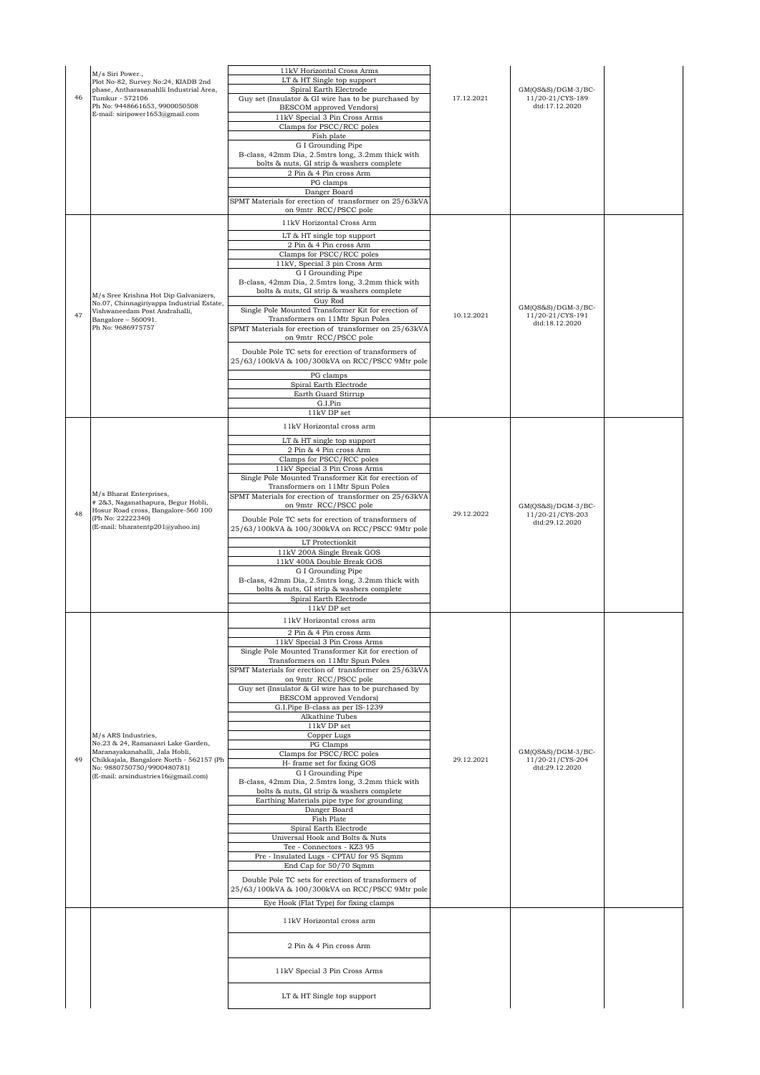|    | M/s Siri Power.,<br>Plot No-82, Survey No:24, KIADB 2nd                                                                                                       | 11kV Horizontal Cross Arms<br>LT & HT Single top support                                                                                                      |            |                                                            |  |
|----|---------------------------------------------------------------------------------------------------------------------------------------------------------------|---------------------------------------------------------------------------------------------------------------------------------------------------------------|------------|------------------------------------------------------------|--|
| 46 | phase, Antharasanahlli Industrial Area,<br>Tumkur - 572106<br>Ph No: 9448661653, 9900050508                                                                   | Spiral Earth Electrode<br>Guy set (Insulator & GI wire has to be purchased by<br><b>BESCOM</b> approved Vendors)                                              | 17.12.2021 | $GM(QS&S)/DGM-3/BC-$<br>11/20-21/CYS-189<br>dtd:17.12.2020 |  |
|    | E-mail: siripower1653@gmail.com                                                                                                                               | 11kV Special 3 Pin Cross Arms<br>Clamps for PSCC/RCC poles                                                                                                    |            |                                                            |  |
|    |                                                                                                                                                               | Fish plate<br>G I Grounding Pipe<br>B-class, 42mm Dia, 2.5mtrs long, 3.2mm thick with<br>bolts & nuts, GI strip & washers complete<br>2 Pin & 4 Pin cross Arm |            |                                                            |  |
|    |                                                                                                                                                               | PG clamps<br>Danger Board                                                                                                                                     |            |                                                            |  |
|    |                                                                                                                                                               | SPMT Materials for erection of transformer on 25/63kVA<br>on 9mtr RCC/PSCC pole                                                                               |            |                                                            |  |
|    |                                                                                                                                                               | 11kV Horizontal Cross Arm                                                                                                                                     |            |                                                            |  |
|    |                                                                                                                                                               | LT & HT single top support<br>2 Pin & 4 Pin cross Arm<br>Clamps for PSCC/RCC poles                                                                            |            |                                                            |  |
|    |                                                                                                                                                               | 11kV, Special 3 pin Cross Arm<br>G I Grounding Pipe<br>B-class, 42mm Dia, 2.5mtrs long, 3.2mm thick with                                                      |            |                                                            |  |
|    | M/s Sree Krishna Hot Dip Galvanizers,<br>No.07, Chinnagiriyappa Industrial Estate,                                                                            | bolts & nuts, GI strip & washers complete<br>Guy Rod                                                                                                          |            | $GM(QS&S)/DGM-3/BC-$                                       |  |
| 47 | Vishwaneedam Post Andrahalli,<br>Bangalore - 560091.<br>Ph No: 9686975757                                                                                     | Single Pole Mounted Transformer Kit for erection of<br>Transformers on 11Mtr Spun Poles<br>SPMT Materials for erection of transformer on 25/63kVA             | 10.12.2021 | 11/20-21/CYS-191<br>dtd:18.12.2020                         |  |
|    |                                                                                                                                                               | on 9mtr RCC/PSCC pole<br>Double Pole TC sets for erection of transformers of<br>25/63/100kVA & 100/300kVA on RCC/PSCC 9Mtr pole                               |            |                                                            |  |
|    |                                                                                                                                                               | PG clamps<br>Spiral Earth Electrode                                                                                                                           |            |                                                            |  |
|    |                                                                                                                                                               | Earth Guard Stirrup<br>G.I.Pin                                                                                                                                |            |                                                            |  |
|    |                                                                                                                                                               | 11kV DP set                                                                                                                                                   |            |                                                            |  |
|    |                                                                                                                                                               | 11kV Horizontal cross arm<br>LT & HT single top support                                                                                                       |            |                                                            |  |
|    |                                                                                                                                                               | 2 Pin & 4 Pin cross Arm<br>Clamps for PSCC/RCC poles                                                                                                          |            |                                                            |  |
|    | M/s Bharat Enterprises,<br># 2&3, Naganathapura, Begur Hobli,<br>Hosur Road cross, Bangalore-560 100<br>(Ph No: 22222340)<br>(E-mail: bharatentp201@yahoo.in) | 11kV Special 3 Pin Cross Arms                                                                                                                                 |            |                                                            |  |
|    |                                                                                                                                                               | Single Pole Mounted Transformer Kit for erection of<br>Transformers on 11Mtr Spun Poles                                                                       |            |                                                            |  |
| 48 |                                                                                                                                                               | SPMT Materials for erection of transformer on 25/63kVA<br>on 9mtr_RCC/PSCC pole                                                                               | 29.12.2022 | $GM(QS&S)/DGM-3/BC-$<br>11/20-21/CYS-203                   |  |
|    |                                                                                                                                                               | Double Pole TC sets for erection of transformers of<br>25/63/100kVA & 100/300kVA on RCC/PSCC 9Mtr pole                                                        |            | dtd:29.12.2020                                             |  |
|    |                                                                                                                                                               | LT Protectionkit<br>11kV 200A Single Break GOS<br>11kV 400A Double Break GOS                                                                                  |            |                                                            |  |
|    |                                                                                                                                                               | G I Grounding Pipe<br>B-class, 42mm Dia, 2.5mtrs long, 3.2mm thick with<br>bolts & nuts, GI strip & washers complete                                          |            |                                                            |  |
|    |                                                                                                                                                               | Spiral Earth Electrode<br>11kV DP set                                                                                                                         |            |                                                            |  |
|    |                                                                                                                                                               | 11kV Horizontal cross arm                                                                                                                                     |            |                                                            |  |
|    |                                                                                                                                                               | 2 Pin & 4 Pin cross Arm<br>11kV Special 3 Pin Cross Arms<br>Single Pole Mounted Transformer Kit for erection of                                               |            |                                                            |  |
|    |                                                                                                                                                               | Transformers on 11Mtr Spun Poles                                                                                                                              |            |                                                            |  |
|    |                                                                                                                                                               | SPMT Materials for erection of transformer on 25/63kVA<br>on 9mtr RCC/PSCC pole                                                                               |            |                                                            |  |
|    |                                                                                                                                                               | Guy set (Insulator & GI wire has to be purchased by<br>BESCOM approved Vendors)                                                                               |            |                                                            |  |
|    |                                                                                                                                                               | G.I.Pipe B-class as per IS-1239<br>Alkathine Tubes                                                                                                            |            |                                                            |  |
|    | M/s ARS Industries,<br>No.23 & 24, Ramanasri Lake Garden,                                                                                                     | 11kV DP set<br>Copper Lugs<br>PG Clamps                                                                                                                       |            |                                                            |  |
| 49 | Maranayakanahalli, Jala Hobli,<br>Chikkajala, Bangalore North - 562157 (Ph                                                                                    | Clamps for PSCC/RCC poles<br>H- frame set for fixing GOS                                                                                                      | 29.12.2021 | $GM(QS&S)/DGM-3/BC-$<br>11/20-21/CYS-204                   |  |
|    | No: 9880750750/9900480781)<br>(E-mail: arsindustries16@gmail.com)                                                                                             | G I Grounding Pipe                                                                                                                                            |            | dtd:29.12.2020                                             |  |
|    |                                                                                                                                                               | B-class, 42mm Dia, 2.5mtrs long, 3.2mm thick with<br>bolts & nuts, GI strip & washers complete                                                                |            |                                                            |  |
|    |                                                                                                                                                               | Earthing Materials pipe type for grounding<br>Danger Board                                                                                                    |            |                                                            |  |
|    |                                                                                                                                                               | Fish Plate<br>Spiral Earth Electrode                                                                                                                          |            |                                                            |  |
|    |                                                                                                                                                               | Universal Hook and Bolts & Nuts<br>Tee - Connectors - KZ3 95                                                                                                  |            |                                                            |  |
|    |                                                                                                                                                               | Pre - Insulated Lugs - CPTAU for 95 Sqmm<br>End Cap for 50/70 Sqmm                                                                                            |            |                                                            |  |
|    |                                                                                                                                                               | Double Pole TC sets for erection of transformers of<br>25/63/100kVA & 100/300kVA on RCC/PSCC 9Mtr pole                                                        |            |                                                            |  |
|    |                                                                                                                                                               | Eye Hook (Flat Type) for fixing clamps                                                                                                                        |            |                                                            |  |
|    |                                                                                                                                                               | 11kV Horizontal cross arm                                                                                                                                     |            |                                                            |  |
|    |                                                                                                                                                               | 2 Pin & 4 Pin cross Arm                                                                                                                                       |            |                                                            |  |
|    |                                                                                                                                                               | 11kV Special 3 Pin Cross Arms                                                                                                                                 |            |                                                            |  |
|    |                                                                                                                                                               | LT & HT Single top support                                                                                                                                    |            |                                                            |  |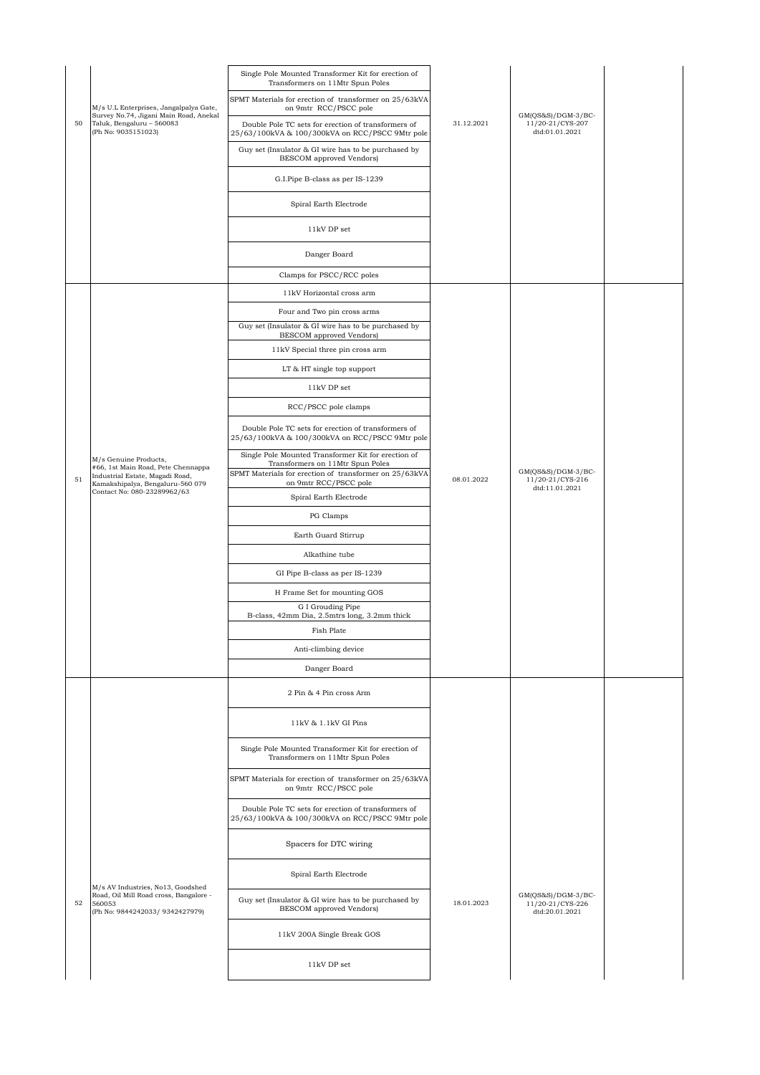|    |                                                                                                | Single Pole Mounted Transformer Kit for erection of<br>Transformers on 11Mtr Spun Poles                |            |                                                            |  |
|----|------------------------------------------------------------------------------------------------|--------------------------------------------------------------------------------------------------------|------------|------------------------------------------------------------|--|
|    | M/s U.L Enterprises, Jangalpalya Gate,                                                         | SPMT Materials for erection of transformer on 25/63kVA<br>on 9mtr RCC/PSCC pole                        |            |                                                            |  |
| 50 | Survey No.74, Jigani Main Road, Anekal<br>Taluk, Bengaluru - 560083<br>(Ph No: 9035151023)     | Double Pole TC sets for erection of transformers of<br>25/63/100kVA & 100/300kVA on RCC/PSCC 9Mtr pole | 31.12.2021 | $GM(QS&S)/DGM-3/BC-$<br>11/20-21/CYS-207<br>dtd:01.01.2021 |  |
|    |                                                                                                | Guy set (Insulator & GI wire has to be purchased by<br>BESCOM approved Vendors)                        |            |                                                            |  |
|    |                                                                                                | G.I.Pipe B-class as per IS-1239                                                                        |            |                                                            |  |
|    |                                                                                                | Spiral Earth Electrode                                                                                 |            |                                                            |  |
|    |                                                                                                | 11kV DP set                                                                                            |            |                                                            |  |
|    |                                                                                                | Danger Board                                                                                           |            |                                                            |  |
|    |                                                                                                | Clamps for PSCC/RCC poles                                                                              |            |                                                            |  |
|    |                                                                                                | 11kV Horizontal cross arm                                                                              |            |                                                            |  |
|    |                                                                                                | Four and Two pin cross arms                                                                            |            |                                                            |  |
|    |                                                                                                | Guy set (Insulator & GI wire has to be purchased by<br>BESCOM approved Vendors)                        |            |                                                            |  |
|    |                                                                                                | 11kV Special three pin cross arm                                                                       |            |                                                            |  |
|    |                                                                                                | LT & HT single top support                                                                             |            |                                                            |  |
|    |                                                                                                | 11kV DP set                                                                                            |            |                                                            |  |
|    |                                                                                                | RCC/PSCC pole clamps                                                                                   |            |                                                            |  |
|    |                                                                                                | Double Pole TC sets for erection of transformers of<br>25/63/100kVA & 100/300kVA on RCC/PSCC 9Mtr pole |            |                                                            |  |
|    |                                                                                                | Single Pole Mounted Transformer Kit for erection of                                                    |            |                                                            |  |
|    | M/s Genuine Products,<br>#66, 1st Main Road, Pete Chennappa<br>Industrial Estate, Magadi Road, | Transformers on 11Mtr Spun Poles<br>SPMT Materials for erection of transformer on 25/63kVA             |            | $GM(QS&S)/DGM-3/BC-$                                       |  |
| 51 | Kamakshipalya, Bengaluru-560 079<br>Contact No: 080-23289962/63                                | on 9mtr RCC/PSCC pole                                                                                  | 08.01.2022 | 11/20-21/CYS-216<br>dtd:11.01.2021                         |  |
|    |                                                                                                | Spiral Earth Electrode                                                                                 |            |                                                            |  |
|    |                                                                                                | PG Clamps                                                                                              |            |                                                            |  |
|    |                                                                                                | Earth Guard Stirrup                                                                                    |            |                                                            |  |
|    |                                                                                                | Alkathine tube                                                                                         |            |                                                            |  |
|    |                                                                                                | GI Pipe B-class as per IS-1239                                                                         |            |                                                            |  |
|    |                                                                                                | H Frame Set for mounting GOS                                                                           |            |                                                            |  |
|    |                                                                                                | G I Grouding Pipe<br>B-class, 42mm Dia, 2.5mtrs long, 3.2mm thick                                      |            |                                                            |  |
|    |                                                                                                | Fish Plate                                                                                             |            |                                                            |  |
|    |                                                                                                | Anti-climbing device                                                                                   |            |                                                            |  |
|    |                                                                                                | Danger Board                                                                                           |            |                                                            |  |
|    |                                                                                                | 2 Pin & 4 Pin cross Arm                                                                                |            |                                                            |  |
|    |                                                                                                |                                                                                                        |            |                                                            |  |
|    |                                                                                                | 11kV & 1.1kV GI Pins                                                                                   |            |                                                            |  |
|    |                                                                                                | Single Pole Mounted Transformer Kit for erection of<br>Transformers on 11Mtr Spun Poles                |            |                                                            |  |
|    |                                                                                                | SPMT Materials for erection of transformer on 25/63kVA<br>on 9mtr RCC/PSCC pole                        |            |                                                            |  |
|    |                                                                                                | Double Pole TC sets for erection of transformers of<br>25/63/100kVA & 100/300kVA on RCC/PSCC 9Mtr pole |            |                                                            |  |
|    |                                                                                                | Spacers for DTC wiring                                                                                 |            |                                                            |  |
|    | M/s AV Industries, No13, Goodshed                                                              | Spiral Earth Electrode                                                                                 |            |                                                            |  |
| 52 | Road, Oil Mill Road cross, Bangalore -<br>560053<br>(Ph No: 9844242033/ 9342427979)            | Guy set (Insulator & GI wire has to be purchased by<br>BESCOM approved Vendors)                        | 18.01.2023 | GM(QS&S)/DGM-3/BC-<br>11/20-21/CYS-226<br>dtd:20.01.2021   |  |
|    |                                                                                                | 11kV 200A Single Break GOS                                                                             |            |                                                            |  |
|    |                                                                                                | 11kV DP set                                                                                            |            |                                                            |  |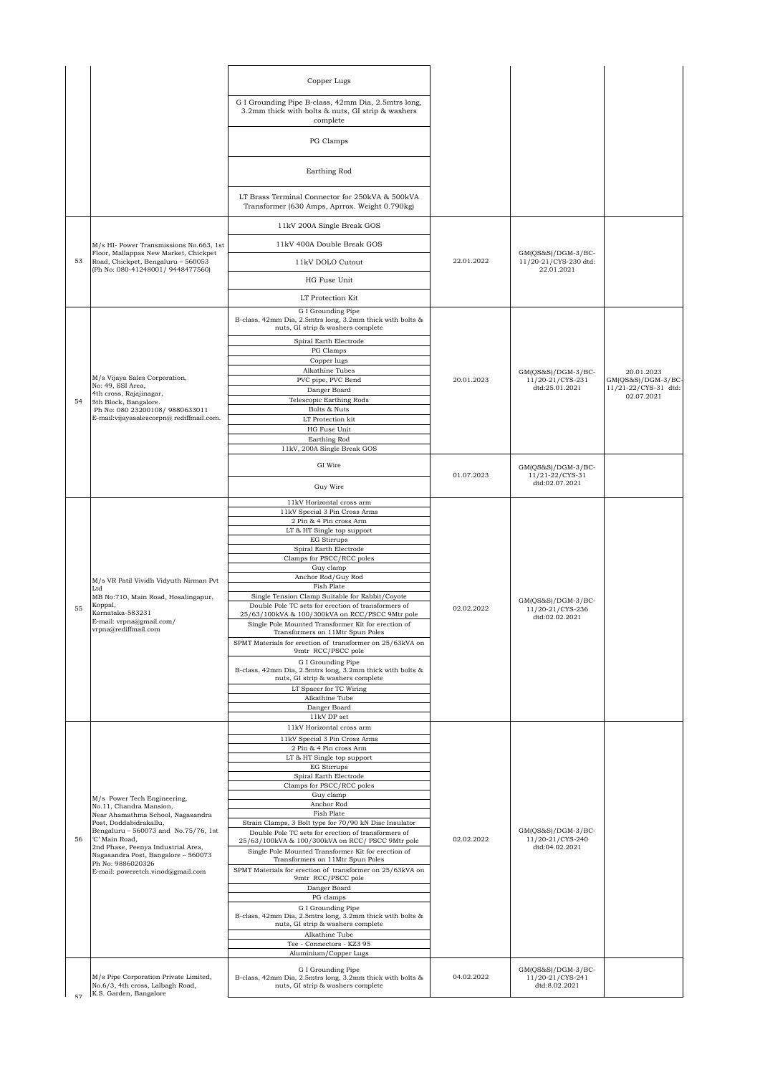|    |                                                                             | Copper Lugs                                                                                                          |            |                                               |                                    |
|----|-----------------------------------------------------------------------------|----------------------------------------------------------------------------------------------------------------------|------------|-----------------------------------------------|------------------------------------|
|    |                                                                             |                                                                                                                      |            |                                               |                                    |
|    |                                                                             | G I Grounding Pipe B-class, 42mm Dia, 2.5mtrs long,<br>3.2mm thick with bolts & nuts, GI strip & washers<br>complete |            |                                               |                                    |
|    |                                                                             | PG Clamps                                                                                                            |            |                                               |                                    |
|    |                                                                             | Earthing Rod                                                                                                         |            |                                               |                                    |
|    |                                                                             | LT Brass Terminal Connector for 250kVA & 500kVA<br>Transformer (630 Amps, Aprrox. Weight 0.790kg)                    |            |                                               |                                    |
|    |                                                                             | 11kV 200A Single Break GOS                                                                                           |            |                                               |                                    |
|    | M/s HI- Power Transmissions No.663, 1st                                     | 11kV 400A Double Break GOS                                                                                           |            |                                               |                                    |
| 53 | Floor, Mallappas New Market, Chickpet<br>Road, Chickpet, Bengaluru - 560053 | 11kV DOLO Cutout                                                                                                     | 22.01.2022 | $GM(QS&S)/DGM-3/BC-$<br>11/20-21/CYS-230 dtd: |                                    |
|    | (Ph No: 080-41248001/ 9448477560)                                           | HG Fuse Unit                                                                                                         |            | 22.01.2021                                    |                                    |
|    |                                                                             | LT Protection Kit                                                                                                    |            |                                               |                                    |
|    |                                                                             | G I Grounding Pipe                                                                                                   |            |                                               |                                    |
|    |                                                                             | B-class, 42mm Dia, 2.5mtrs long, 3.2mm thick with bolts &<br>nuts, GI strip & washers complete                       |            |                                               |                                    |
|    |                                                                             | Spiral Earth Electrode<br>PG Clamps                                                                                  |            |                                               |                                    |
|    |                                                                             | Copper lugs                                                                                                          |            |                                               |                                    |
|    | M/s Vijaya Sales Corporation,                                               | Alkathine Tubes<br>PVC pipe, PVC Bend                                                                                | 20.01.2023 | $GM(QS&S)/DGM-3/BC-$<br>11/20-21/CYS-231      | 20.01.2023<br>$GM(OS&S)/DGM-3/BC-$ |
|    | No: 49, SSI Area,<br>4th cross, Rajajinagar,                                | Danger Board                                                                                                         |            | dtd:25.01.2021                                | 11/21-22/CYS-31 dtd:               |
| 54 | 5th Block, Bangalore.<br>Ph No: 080 23200108/ 9880633011                    | Telescopic Earthing Rods<br>Bolts & Nuts                                                                             |            |                                               | 02.07.2021                         |
|    | E-mail:vijayasalescorpn@rediffmail.com.                                     | LT Protection kit                                                                                                    |            |                                               |                                    |
|    |                                                                             | HG Fuse Unit                                                                                                         |            |                                               |                                    |
|    |                                                                             | Earthing Rod<br>11kV, 200A Single Break GOS                                                                          |            |                                               |                                    |
|    |                                                                             | GI Wire                                                                                                              | 01.07.2023 | $GM(QS&S)/DGM-3/BC-$<br>$11/21 - 22/CYS - 31$ |                                    |
|    |                                                                             | Guy Wire                                                                                                             |            | dtd:02.07.2021                                |                                    |
|    |                                                                             | 11kV Horizontal cross arm                                                                                            |            |                                               |                                    |
|    |                                                                             | 11kV Special 3 Pin Cross Arms<br>2 Pin & 4 Pin cross Arm                                                             |            |                                               |                                    |
|    | M/s VR Patil Vividh Vidyuth Nirman Pvt<br>Ltd                               | LT & HT Single top support                                                                                           |            |                                               |                                    |
|    |                                                                             | <b>EG Stirrups</b><br>Spiral Earth Electrode                                                                         |            |                                               |                                    |
|    |                                                                             | Clamps for PSCC/RCC poles<br>Guy clamp                                                                               |            |                                               |                                    |
|    |                                                                             | Anchor Rod/Guy Rod                                                                                                   |            |                                               |                                    |
|    |                                                                             | Fish Plate<br>Single Tension Clamp Suitable for Rabbit/Coyote                                                        |            |                                               |                                    |
| 55 | MB No:710, Main Road, Hosalingapur,<br>Koppal,                              | Double Pole TC sets for erection of transformers of                                                                  | 02.02.2022 | GM(QS&S)/DGM-3/BC-<br>11/20-21/CYS-236        |                                    |
|    | Karnataka-583231<br>E-mail: vrpna@gmail.com/                                | 25/63/100kVA & 100/300kVA on RCC/PSCC 9Mtr pole<br>Single Pole Mounted Transformer Kit for erection of               |            | dtd:02.02.2021                                |                                    |
|    | vrpna@rediffmail.com                                                        | Transformers on 11Mtr Spun Poles                                                                                     |            |                                               |                                    |
|    |                                                                             | SPMT Materials for erection of transformer on 25/63kVA on<br>9mtr RCC/PSCC pole                                      |            |                                               |                                    |
|    |                                                                             | G I Grounding Pipe                                                                                                   |            |                                               |                                    |
|    |                                                                             | B-class, 42mm Dia, 2.5mtrs long, 3.2mm thick with bolts &<br>nuts, GI strip & washers complete                       |            |                                               |                                    |
|    |                                                                             | LT Spacer for TC Wiring                                                                                              |            |                                               |                                    |
|    |                                                                             | Alkathine Tube<br>Danger Board                                                                                       |            |                                               |                                    |
|    |                                                                             | 11kV DP set                                                                                                          |            |                                               |                                    |
|    |                                                                             | 11kV Horizontal cross arm<br>11kV Special 3 Pin Cross Arms                                                           |            |                                               |                                    |
|    |                                                                             | 2 Pin & 4 Pin cross Arm                                                                                              |            |                                               |                                    |
|    |                                                                             | LT & HT Single top support<br>EG Stirrups                                                                            |            |                                               |                                    |
|    |                                                                             | Spiral Earth Electrode<br>Clamps for PSCC/RCC poles                                                                  |            |                                               |                                    |
|    | M/s Power Tech Engineering,                                                 | Guy clamp                                                                                                            |            |                                               |                                    |
|    | No.11, Chandra Mansion,                                                     | Anchor Rod<br>Fish Plate                                                                                             |            |                                               |                                    |
|    | Near Ahamathma School, Nagasandra<br>Post, Doddabidrakallu,                 | Strain Clamps, 3 Bolt type for 70/90 kN Disc Insulator                                                               |            |                                               |                                    |
| 56 | Bengaluru - 560073 and No.75/76, 1st<br>'C' Main Road,                      | Double Pole TC sets for erection of transformers of<br>25/63/100kVA & 100/300kVA on RCC/ PSCC 9Mtr pole              | 02.02.2022 | $GM(QS&S)/DGM-3/BC-$<br>11/20-21/CYS-240      |                                    |
|    | 2nd Phase, Peenya Industrial Area,<br>Nagasandra Post, Bangalore - 560073   | Single Pole Mounted Transformer Kit for erection of                                                                  |            | dtd:04.02.2021                                |                                    |
|    | Ph No: 9886020326<br>E-mail: poweretch.vinod@gmail.com                      | Transformers on 11Mtr Spun Poles<br>SPMT Materials for erection of transformer on 25/63kVA on                        |            |                                               |                                    |
|    |                                                                             | 9mtr RCC/PSCC pole<br>Danger Board                                                                                   |            |                                               |                                    |
|    |                                                                             | PG clamps                                                                                                            |            |                                               |                                    |
|    |                                                                             | G I Grounding Pipe<br>B-class, 42mm Dia, 2.5mtrs long, 3.2mm thick with bolts &                                      |            |                                               |                                    |
|    |                                                                             | nuts, GI strip & washers complete                                                                                    |            |                                               |                                    |
|    |                                                                             | Alkathine Tube<br>Tee - Connectors - KZ3 95                                                                          |            |                                               |                                    |
|    |                                                                             | Aluminium/Copper Lugs                                                                                                |            |                                               |                                    |
|    |                                                                             | G I Grounding Pipe                                                                                                   |            | GM(QS&S)/DGM-3/BC-                            |                                    |
|    | M/s Pipe Corporation Private Limited,<br>No.6/3, 4th cross, Lalbagh Road,   | B-class, 42mm Dia, 2.5mtrs long, 3.2mm thick with bolts &<br>nuts, GI strip & washers complete                       | 04.02.2022 | 11/20-21/CYS-241<br>dtd:8.02.2021             |                                    |
| 57 | K.S. Garden, Bangalore                                                      |                                                                                                                      |            |                                               |                                    |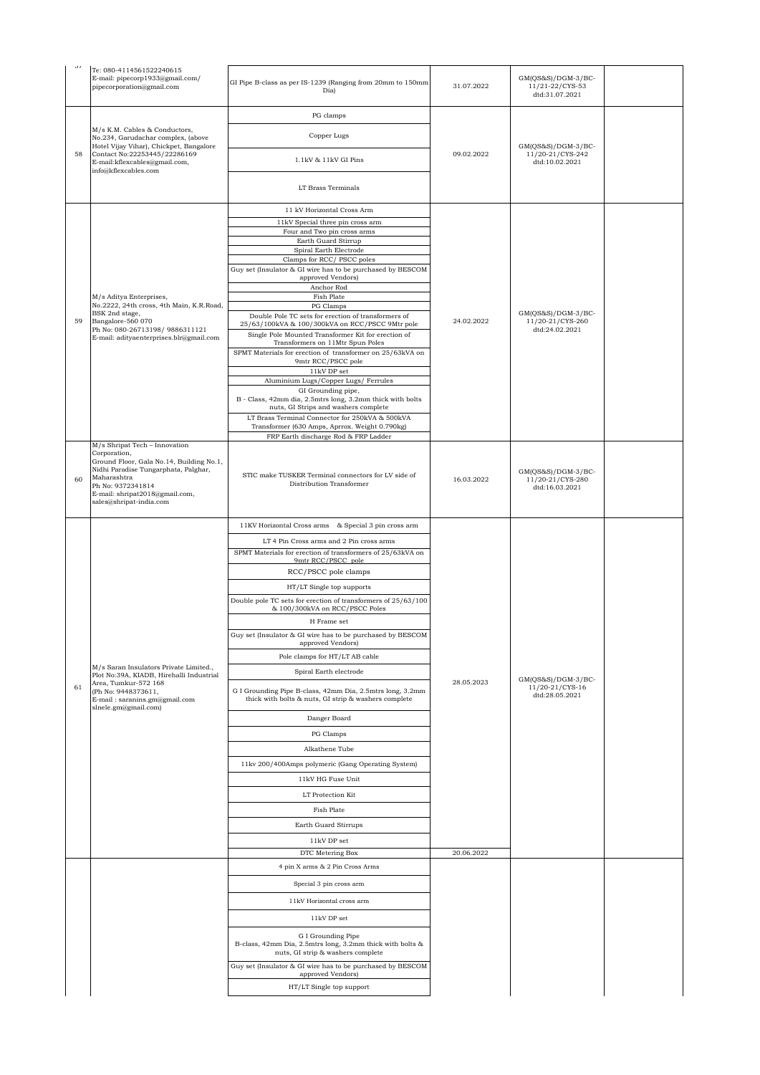| $\sigma$ | Te: 080-4114561522240615<br>E-mail: pipecorp1933@gmail.com/<br>pipecorporation@gmail.com                                                                                                                | GI Pipe B-class as per IS-1239 (Ranging from 20mm to 150mm<br>Dia)                                                   | 31.07.2022 | $GM(QS&S)/DGM-3/BC-$<br>11/21-22/CYS-53<br>dtd:31.07.2021 |  |
|----------|---------------------------------------------------------------------------------------------------------------------------------------------------------------------------------------------------------|----------------------------------------------------------------------------------------------------------------------|------------|-----------------------------------------------------------|--|
|          |                                                                                                                                                                                                         | PG clamps                                                                                                            |            |                                                           |  |
| 58       | M/s K.M. Cables & Conductors,<br>No.234, Garudachar complex, (above<br>Hotel Vijay Vihar), Chickpet, Bangalore<br>Contact No:22253445/22286169<br>E-mail:kflexcables@gmail.com,<br>info@kflexcables.com | Copper Lugs                                                                                                          | 09.02.2022 | GM(QS&S)/DGM-3/BC-                                        |  |
|          |                                                                                                                                                                                                         | 1.1kV & 11kV GI Pins                                                                                                 |            | 11/20-21/CYS-242<br>dtd:10.02.2021                        |  |
|          |                                                                                                                                                                                                         | LT Brass Terminals                                                                                                   |            |                                                           |  |
|          |                                                                                                                                                                                                         | 11 kV Horizontal Cross Arm                                                                                           |            |                                                           |  |
|          |                                                                                                                                                                                                         | 11kV Special three pin cross arm                                                                                     |            |                                                           |  |
|          |                                                                                                                                                                                                         | Four and Two pin cross arms<br>Earth Guard Stirrup                                                                   |            |                                                           |  |
|          |                                                                                                                                                                                                         | Spiral Earth Electrode<br>Clamps for RCC/PSCC poles                                                                  |            |                                                           |  |
|          |                                                                                                                                                                                                         | Guy set (Insulator & GI wire has to be purchased by BESCOM                                                           |            |                                                           |  |
|          |                                                                                                                                                                                                         | approved Vendors)<br>Anchor Rod                                                                                      |            |                                                           |  |
|          | M/s Aditya Enterprises,                                                                                                                                                                                 | Fish Plate                                                                                                           |            |                                                           |  |
|          | No.2222, 24th cross, 4th Main, K.R.Road,<br>BSK 2nd stage,                                                                                                                                              | PG Clamps<br>Double Pole TC sets for erection of transformers of                                                     |            | $GM(QS&S)/DGM-3/BC-$                                      |  |
| 59       | Bangalore-560 070<br>Ph No: 080-26713198/9886311121                                                                                                                                                     | 25/63/100kVA & 100/300kVA on RCC/PSCC 9Mtr pole                                                                      | 24.02.2022 | 11/20-21/CYS-260<br>dtd:24.02.2021                        |  |
|          | E-mail: adityaenterprises.blr@gmail.com                                                                                                                                                                 | Single Pole Mounted Transformer Kit for erection of<br>Transformers on 11Mtr Spun Poles                              |            |                                                           |  |
|          |                                                                                                                                                                                                         | SPMT Materials for erection of transformer on 25/63kVA on<br>9mtr RCC/PSCC pole                                      |            |                                                           |  |
|          |                                                                                                                                                                                                         | $11\mathrm{kV}$ DP set                                                                                               |            |                                                           |  |
|          |                                                                                                                                                                                                         | Aluminium Lugs/Copper Lugs/ Ferrules<br>GI Grounding pipe,                                                           |            |                                                           |  |
|          |                                                                                                                                                                                                         | B - Class, 42mm dia, 2.5mtrs long, 3.2mm thick with bolts<br>nuts, GI Strips and washers complete                    |            |                                                           |  |
|          |                                                                                                                                                                                                         | LT Brass Terminal Connector for 250kVA & 500kVA                                                                      |            |                                                           |  |
|          |                                                                                                                                                                                                         | Transformer (630 Amps, Aprrox. Weight 0.790kg)<br>FRP Earth discharge Rod & FRP Ladder                               |            |                                                           |  |
|          | M/s Shripat Tech - Innovation                                                                                                                                                                           |                                                                                                                      |            |                                                           |  |
|          | Corporation,<br>Ground Floor, Gala No.14, Building No.1,                                                                                                                                                |                                                                                                                      |            |                                                           |  |
| 60       | Nidhi Paradise Tungarphata, Palghar,<br>Maharashtra                                                                                                                                                     | STIC make TUSKER Terminal connectors for LV side of                                                                  | 16.03.2022 | GM(QS&S)/DGM-3/BC-<br>11/20-21/CYS-280                    |  |
|          | Ph No: 9372341814<br>E-mail: shripat2018@gmail.com,                                                                                                                                                     | Distribution Transformer                                                                                             |            | dtd:16.03.2021                                            |  |
|          | sales@shripat-india.com                                                                                                                                                                                 |                                                                                                                      |            |                                                           |  |
|          |                                                                                                                                                                                                         | 11KV Horizontal Cross arms & Special 3 pin cross arm                                                                 |            |                                                           |  |
|          |                                                                                                                                                                                                         | LT 4 Pin Cross arms and 2 Pin cross arms                                                                             |            |                                                           |  |
|          |                                                                                                                                                                                                         | SPMT Materials for erection of transformers of 25/63kVA on                                                           |            |                                                           |  |
|          |                                                                                                                                                                                                         | 9mtr RCC/PSCC pole                                                                                                   |            |                                                           |  |
|          |                                                                                                                                                                                                         | RCC/PSCC pole clamps                                                                                                 |            |                                                           |  |
|          |                                                                                                                                                                                                         | HT/LT Single top supports<br>Double pole TC sets for erection of transformers of 25/63/100                           |            |                                                           |  |
|          |                                                                                                                                                                                                         | & 100/300kVA on RCC/PSCC Poles                                                                                       |            |                                                           |  |
|          |                                                                                                                                                                                                         | H Frame set                                                                                                          |            |                                                           |  |
|          |                                                                                                                                                                                                         | Guy set (Insulator & GI wire has to be purchased by BESCOM<br>approved Vendors)                                      |            |                                                           |  |
|          |                                                                                                                                                                                                         | Pole clamps for HT/LT AB cable                                                                                       |            |                                                           |  |
|          | M/s Saran Insulators Private Limited.,<br>Plot No:39A, KIADB, Hirehalli Industrial                                                                                                                      | Spiral Earth electrode                                                                                               |            |                                                           |  |
| 61       | Area, Tumkur-572 168<br>(Ph No: 9448373611,                                                                                                                                                             | G I Grounding Pipe B-class, 42mm Dia, 2.5mtrs long, 3.2mm                                                            | 28.05.2023 | $GM(QS&S)/DGM-3/BC-$<br>11/20-21/CYS-16                   |  |
|          | E-mail: saranins.gm@gmail.com<br>slnele.gm@gmail.com)                                                                                                                                                   | thick with bolts & nuts, GI strip & washers complete                                                                 |            | dtd:28.05.2021                                            |  |
|          |                                                                                                                                                                                                         | Danger Board                                                                                                         |            |                                                           |  |
|          |                                                                                                                                                                                                         | PG Clamps                                                                                                            |            |                                                           |  |
|          |                                                                                                                                                                                                         | Alkathene Tube                                                                                                       |            |                                                           |  |
|          |                                                                                                                                                                                                         | 11kv 200/400Amps polymeric (Gang Operating System)                                                                   |            |                                                           |  |
|          |                                                                                                                                                                                                         | 11kV HG Fuse Unit                                                                                                    |            |                                                           |  |
|          |                                                                                                                                                                                                         | LT Protection Kit                                                                                                    |            |                                                           |  |
|          |                                                                                                                                                                                                         | Fish Plate                                                                                                           |            |                                                           |  |
|          |                                                                                                                                                                                                         | Earth Guard Stirrups                                                                                                 |            |                                                           |  |
|          |                                                                                                                                                                                                         | 11kV DP set                                                                                                          |            |                                                           |  |
|          |                                                                                                                                                                                                         | DTC Metering Box                                                                                                     | 20.06.2022 |                                                           |  |
|          |                                                                                                                                                                                                         | 4 pin X arms & 2 Pin Cross Arms                                                                                      |            |                                                           |  |
|          |                                                                                                                                                                                                         | Special 3 pin cross arm                                                                                              |            |                                                           |  |
|          |                                                                                                                                                                                                         | 11kV Horizontal cross arm                                                                                            |            |                                                           |  |
|          |                                                                                                                                                                                                         | 11kV DP set                                                                                                          |            |                                                           |  |
|          |                                                                                                                                                                                                         | G I Grounding Pipe<br>B-class, 42mm Dia, 2.5mtrs long, 3.2mm thick with bolts &<br>nuts, GI strip & washers complete |            |                                                           |  |
|          |                                                                                                                                                                                                         | Guy set (Insulator & GI wire has to be purchased by BESCOM                                                           |            |                                                           |  |
|          |                                                                                                                                                                                                         | approved Vendors)                                                                                                    |            |                                                           |  |
|          |                                                                                                                                                                                                         | HT/LT Single top support                                                                                             |            |                                                           |  |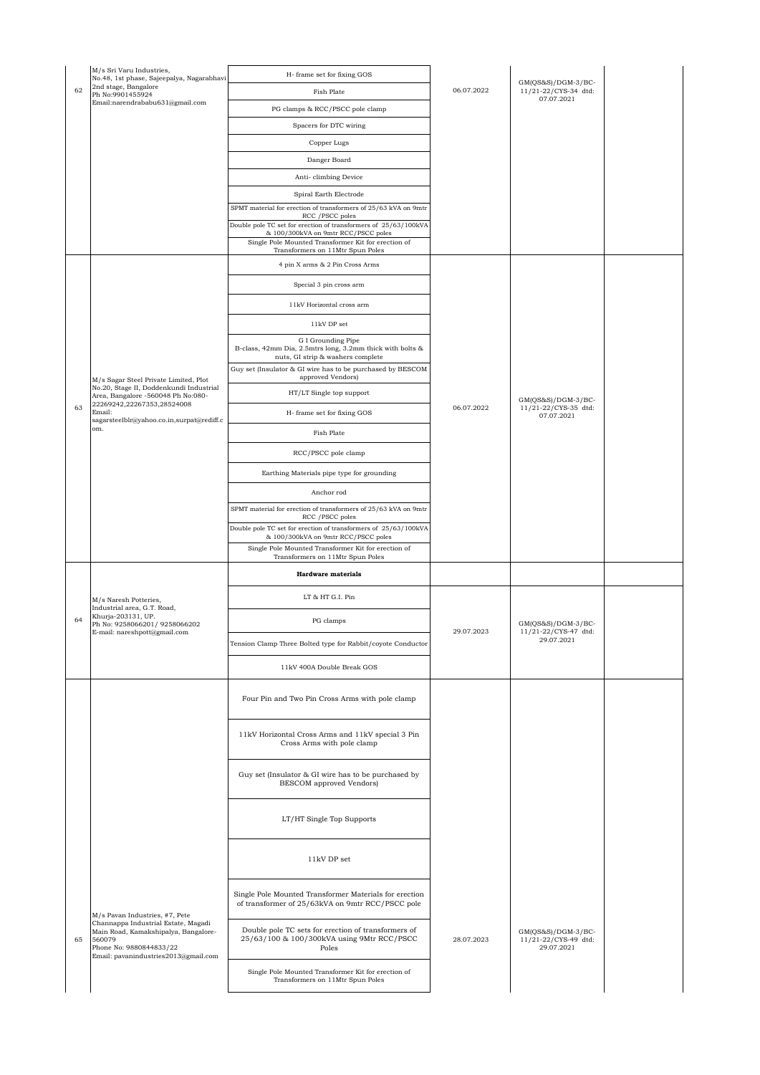|    | M/s Sri Varu Industries,<br>No.48, 1st phase, Sajeepalya, Nagarabhavi                                                                                    | H- frame set for fixing GOS                                                                                          |            |                                                            |  |
|----|----------------------------------------------------------------------------------------------------------------------------------------------------------|----------------------------------------------------------------------------------------------------------------------|------------|------------------------------------------------------------|--|
| 62 | 2nd stage, Bangalore<br>Ph No:9901455924                                                                                                                 | Fish Plate                                                                                                           | 06.07.2022 | $GM(QS&S)/DGM-3/BC-$<br>11/21-22/CYS-34 dtd:<br>07.07.2021 |  |
|    | Email:narendrababu631@gmail.com                                                                                                                          | PG clamps & RCC/PSCC pole clamp                                                                                      |            |                                                            |  |
|    |                                                                                                                                                          | Spacers for DTC wiring                                                                                               |            |                                                            |  |
|    |                                                                                                                                                          | Copper Lugs                                                                                                          |            |                                                            |  |
|    |                                                                                                                                                          | Danger Board                                                                                                         |            |                                                            |  |
|    |                                                                                                                                                          | Anti-climbing Device                                                                                                 |            |                                                            |  |
|    |                                                                                                                                                          | Spiral Earth Electrode                                                                                               |            |                                                            |  |
|    |                                                                                                                                                          | SPMT material for erection of transformers of 25/63 kVA on 9mtr<br>RCC / PSCC poles                                  |            |                                                            |  |
|    |                                                                                                                                                          | Double pole TC set for erection of transformers of 25/63/100kVA<br>& 100/300kVA on 9mtr RCC/PSCC poles               |            |                                                            |  |
|    |                                                                                                                                                          | Single Pole Mounted Transformer Kit for erection of<br>Transformers on 11Mtr Spun Poles                              |            |                                                            |  |
|    |                                                                                                                                                          | 4 pin X arms & 2 Pin Cross Arms                                                                                      |            |                                                            |  |
|    |                                                                                                                                                          | Special 3 pin cross arm                                                                                              |            |                                                            |  |
|    |                                                                                                                                                          | 11kV Horizontal cross arm                                                                                            |            |                                                            |  |
|    |                                                                                                                                                          | 11kV DP set                                                                                                          |            |                                                            |  |
|    |                                                                                                                                                          | G I Grounding Pipe<br>B-class, 42mm Dia, 2.5mtrs long, 3.2mm thick with bolts &<br>nuts, GI strip & washers complete |            |                                                            |  |
|    |                                                                                                                                                          | Guy set (Insulator & GI wire has to be purchased by BESCOM<br>approved Vendors)                                      |            |                                                            |  |
|    | M/s Sagar Steel Private Limited, Plot<br>No.20, Stage II, Doddenkundi Industrial<br>Area, Bangalore -560048 Ph No:080-                                   | HT/LT Single top support                                                                                             |            |                                                            |  |
| 63 | 22269242,22267353,28524008<br>Email:                                                                                                                     | H- frame set for fixing GOS                                                                                          | 06.07.2022 | $GM(QS&S)/DGM-3/BC-$<br>11/21-22/CYS-35 dtd:               |  |
|    | sagarsteelblr@yahoo.co.in,surpat@rediff.c<br>om.                                                                                                         |                                                                                                                      |            | 07.07.2021                                                 |  |
|    |                                                                                                                                                          | Fish Plate                                                                                                           |            |                                                            |  |
|    |                                                                                                                                                          | RCC/PSCC pole clamp                                                                                                  |            |                                                            |  |
|    |                                                                                                                                                          | Earthing Materials pipe type for grounding                                                                           |            |                                                            |  |
|    |                                                                                                                                                          | Anchor rod                                                                                                           |            |                                                            |  |
|    |                                                                                                                                                          | SPMT material for erection of transformers of 25/63 kVA on 9mtr<br>RCC / PSCC poles                                  |            |                                                            |  |
|    |                                                                                                                                                          | Double pole TC set for erection of transformers of 25/63/100kVA<br>& 100/300kVA on 9mtr RCC/PSCC poles               |            |                                                            |  |
|    |                                                                                                                                                          | Single Pole Mounted Transformer Kit for erection of<br>Transformers on 11Mtr Spun Poles                              |            |                                                            |  |
|    |                                                                                                                                                          | <b>Hardware</b> materials                                                                                            |            |                                                            |  |
|    |                                                                                                                                                          |                                                                                                                      |            |                                                            |  |
|    | M/s Naresh Potteries,<br>Industrial area, G.T. Road,                                                                                                     | LT & HT G.I. Pin                                                                                                     |            |                                                            |  |
| 64 | Khurja-203131, UP.<br>Ph No: 9258066201/ 9258066202<br>E-mail: nareshpott@gmail.com                                                                      | PG clamps                                                                                                            | 29.07.2023 | $GM(QS&S)/DGM-3/BC-$<br>11/21-22/CYS-47 dtd:               |  |
|    |                                                                                                                                                          | Tension Clamp Three Bolted type for Rabbit/coyote Conductor                                                          |            | 29.07.2021                                                 |  |
|    |                                                                                                                                                          | 11kV 400A Double Break GOS                                                                                           |            |                                                            |  |
|    |                                                                                                                                                          | Four Pin and Two Pin Cross Arms with pole clamp                                                                      |            |                                                            |  |
|    |                                                                                                                                                          | 11kV Horizontal Cross Arms and 11kV special 3 Pin<br>Cross Arms with pole clamp                                      |            |                                                            |  |
|    |                                                                                                                                                          | Guy set (Insulator & GI wire has to be purchased by<br>BESCOM approved Vendors)                                      |            |                                                            |  |
|    |                                                                                                                                                          | LT/HT Single Top Supports                                                                                            |            |                                                            |  |
|    |                                                                                                                                                          | 11kV DP set                                                                                                          |            |                                                            |  |
|    | M/s Pavan Industries, #7, Pete                                                                                                                           | Single Pole Mounted Transformer Materials for erection<br>of transformer of 25/63kVA on 9mtr RCC/PSCC pole           |            |                                                            |  |
| 65 | Channappa Industrial Estate, Magadi<br>Main Road, Kamakshipalya, Bangalore-<br>560079<br>Phone No: 9880844833/22<br>Email: pavanindustries2013@gmail.com | Double pole TC sets for erection of transformers of<br>25/63/100 & 100/300kVA using 9Mtr RCC/PSCC<br>Poles           | 28.07.2023 | $GM(QS&S)/DGM-3/BC-$<br>11/21-22/CYS-49 dtd:<br>29.07.2021 |  |
|    |                                                                                                                                                          | Single Pole Mounted Transformer Kit for erection of<br>Transformers on 11Mtr Spun Poles                              |            |                                                            |  |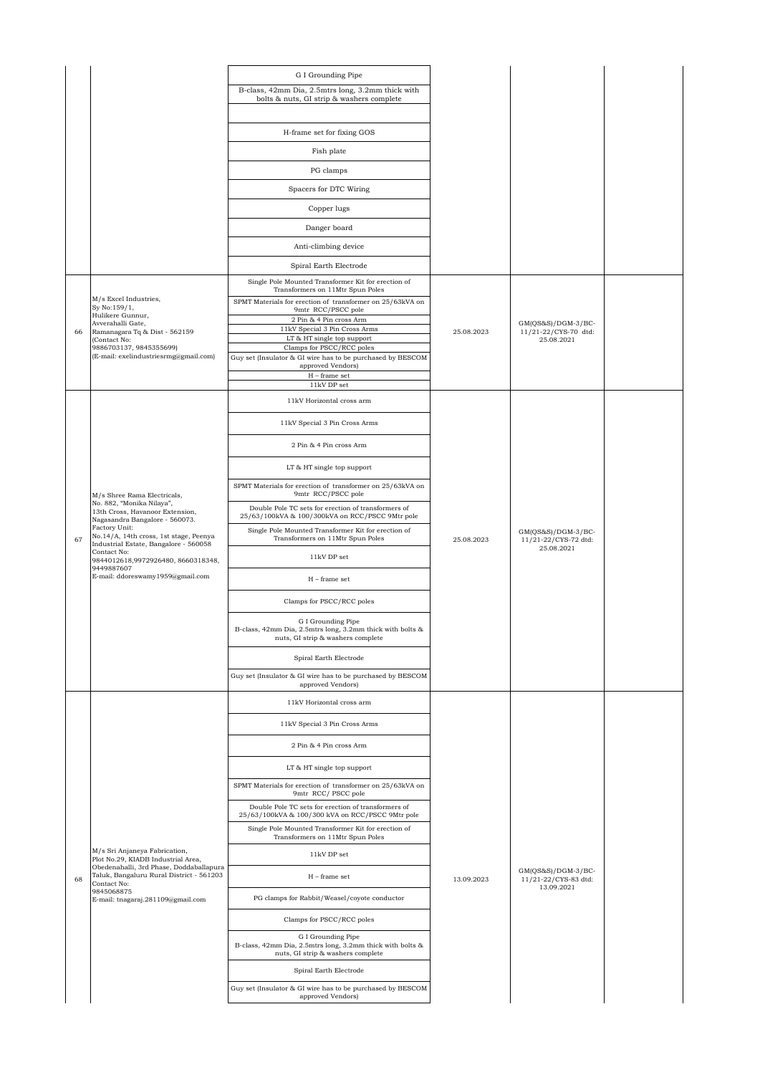|    |                                                                                                                                                                                                                                                                                                      | G I Grounding Pipe                                                                                                   |            |                                                            |  |
|----|------------------------------------------------------------------------------------------------------------------------------------------------------------------------------------------------------------------------------------------------------------------------------------------------------|----------------------------------------------------------------------------------------------------------------------|------------|------------------------------------------------------------|--|
|    |                                                                                                                                                                                                                                                                                                      | B-class, 42mm Dia, 2.5mtrs long, 3.2mm thick with                                                                    |            |                                                            |  |
|    |                                                                                                                                                                                                                                                                                                      | bolts & nuts, GI strip & washers complete                                                                            |            |                                                            |  |
|    |                                                                                                                                                                                                                                                                                                      | H-frame set for fixing GOS                                                                                           |            |                                                            |  |
|    |                                                                                                                                                                                                                                                                                                      | Fish plate                                                                                                           |            |                                                            |  |
|    |                                                                                                                                                                                                                                                                                                      | PG clamps                                                                                                            |            |                                                            |  |
|    |                                                                                                                                                                                                                                                                                                      | Spacers for DTC Wiring                                                                                               |            |                                                            |  |
|    |                                                                                                                                                                                                                                                                                                      | Copper lugs                                                                                                          |            |                                                            |  |
|    |                                                                                                                                                                                                                                                                                                      | Danger board                                                                                                         |            |                                                            |  |
|    |                                                                                                                                                                                                                                                                                                      | Anti-climbing device                                                                                                 |            |                                                            |  |
|    |                                                                                                                                                                                                                                                                                                      | Spiral Earth Electrode                                                                                               |            |                                                            |  |
|    |                                                                                                                                                                                                                                                                                                      | Single Pole Mounted Transformer Kit for erection of<br>Transformers on 11Mtr Spun Poles                              |            |                                                            |  |
|    | M/s Excel Industries,<br>Sy No:159/1,<br>Hulikere Gunnur,                                                                                                                                                                                                                                            | SPMT Materials for erection of transformer on 25/63kVA on<br>9mtr RCC/PSCC pole                                      |            |                                                            |  |
| 66 | Avverahalli Gate,<br>Ramanagara Tq & Dist - 562159                                                                                                                                                                                                                                                   | 2 Pin & 4 Pin cross Arm<br>11kV Special 3 Pin Cross Arms                                                             | 25.08.2023 | $GM(QS&S)/DGM-3/BC-$<br>11/21-22/CYS-70 dtd:               |  |
|    | (Contact No:<br>9886703137, 9845355699)                                                                                                                                                                                                                                                              | LT & HT single top support<br>Clamps for PSCC/RCC poles                                                              |            | 25.08.2021                                                 |  |
|    | (E-mail: exelindustriesrmg@gmail.com)                                                                                                                                                                                                                                                                | Guy set (Insulator & GI wire has to be purchased by BESCOM<br>approved Vendors)                                      |            |                                                            |  |
|    |                                                                                                                                                                                                                                                                                                      | ${\rm H}$ – frame set<br>11kV DP set                                                                                 |            |                                                            |  |
|    |                                                                                                                                                                                                                                                                                                      | 11kV Horizontal cross arm                                                                                            |            |                                                            |  |
|    |                                                                                                                                                                                                                                                                                                      | 11kV Special 3 Pin Cross Arms                                                                                        |            |                                                            |  |
|    |                                                                                                                                                                                                                                                                                                      | 2 Pin & 4 Pin cross Arm                                                                                              | 25.08.2023 | $GM(QS&S)/DGM-3/BC-$<br>11/21-22/CYS-72 dtd:<br>25.08.2021 |  |
|    |                                                                                                                                                                                                                                                                                                      | LT & HT single top support                                                                                           |            |                                                            |  |
|    | M/s Shree Rama Electricals,<br>No. 882, "Monika Nilaya",<br>13th Cross, Havanoor Extension,<br>Nagasandra Bangalore - 560073.<br>Factory Unit:<br>No.14/A, 14th cross, 1st stage, Peenya<br>Industrial Estate, Bangalore - 560058<br>Contact No:<br>9844012618,9972926480, 8660318348,<br>9449887607 | SPMT Materials for erection of transformer on 25/63kVA on<br>9mtr RCC/PSCC pole                                      |            |                                                            |  |
|    |                                                                                                                                                                                                                                                                                                      | Double Pole TC sets for erection of transformers of<br>25/63/100kVA & 100/300kVA on RCC/PSCC 9Mtr pole               |            |                                                            |  |
| 67 |                                                                                                                                                                                                                                                                                                      | Single Pole Mounted Transformer Kit for erection of<br>Transformers on 11Mtr Spun Poles                              |            |                                                            |  |
|    |                                                                                                                                                                                                                                                                                                      | 11kV DP set                                                                                                          |            |                                                            |  |
|    | E-mail: ddoreswamy1959@gmail.com                                                                                                                                                                                                                                                                     | $H$ – frame set                                                                                                      |            |                                                            |  |
|    |                                                                                                                                                                                                                                                                                                      | Clamps for PSCC/RCC poles                                                                                            |            |                                                            |  |
|    |                                                                                                                                                                                                                                                                                                      | G I Grounding Pipe<br>B-class, 42mm Dia, 2.5mtrs long, 3.2mm thick with bolts &<br>nuts, GI strip & washers complete |            |                                                            |  |
|    |                                                                                                                                                                                                                                                                                                      | Spiral Earth Electrode                                                                                               |            |                                                            |  |
|    |                                                                                                                                                                                                                                                                                                      | Guy set (Insulator & GI wire has to be purchased by BESCOM<br>approved Vendors)                                      |            |                                                            |  |
|    |                                                                                                                                                                                                                                                                                                      | 11kV Horizontal cross arm                                                                                            |            |                                                            |  |
|    |                                                                                                                                                                                                                                                                                                      | 11kV Special 3 Pin Cross Arms                                                                                        |            |                                                            |  |
|    |                                                                                                                                                                                                                                                                                                      | 2 Pin & 4 Pin cross Arm                                                                                              |            |                                                            |  |
|    |                                                                                                                                                                                                                                                                                                      | LT & HT single top support                                                                                           |            |                                                            |  |
|    |                                                                                                                                                                                                                                                                                                      | SPMT Materials for erection of transformer on 25/63kVA on<br>9mtr RCC/PSCC pole                                      |            |                                                            |  |
|    |                                                                                                                                                                                                                                                                                                      | Double Pole TC sets for erection of transformers of<br>25/63/100kVA & 100/300 kVA on RCC/PSCC 9Mtr pole              |            |                                                            |  |
|    |                                                                                                                                                                                                                                                                                                      | Single Pole Mounted Transformer Kit for erection of<br>Transformers on 11Mtr Spun Poles                              |            |                                                            |  |
|    | M/s Sri Anjaneya Fabrication,<br>Plot No.29, KIADB Industrial Area,                                                                                                                                                                                                                                  | 11kV DP set                                                                                                          |            |                                                            |  |
| 68 | Obedenahalli, 3rd Phase, Doddaballapura<br>Taluk, Bangaluru Rural District - 561203<br>Contact No:                                                                                                                                                                                                   | $H$ – frame set                                                                                                      | 13.09.2023 | $GM(QS&S)/DGM-3/BC-$<br>11/21-22/CYS-83 dtd:<br>13.09.2021 |  |
|    | 9845068875<br>E-mail: tnagaraj.281109@gmail.com                                                                                                                                                                                                                                                      | PG clamps for Rabbit/Weasel/coyote conductor                                                                         |            |                                                            |  |
|    |                                                                                                                                                                                                                                                                                                      | Clamps for PSCC/RCC poles                                                                                            |            |                                                            |  |
|    |                                                                                                                                                                                                                                                                                                      | G I Grounding Pipe<br>B-class, 42mm Dia, 2.5mtrs long, 3.2mm thick with bolts &<br>nuts, GI strip & washers complete |            |                                                            |  |
|    |                                                                                                                                                                                                                                                                                                      | Spiral Earth Electrode                                                                                               |            |                                                            |  |
|    |                                                                                                                                                                                                                                                                                                      | Guy set (Insulator & GI wire has to be purchased by BESCOM<br>approved Vendors)                                      |            |                                                            |  |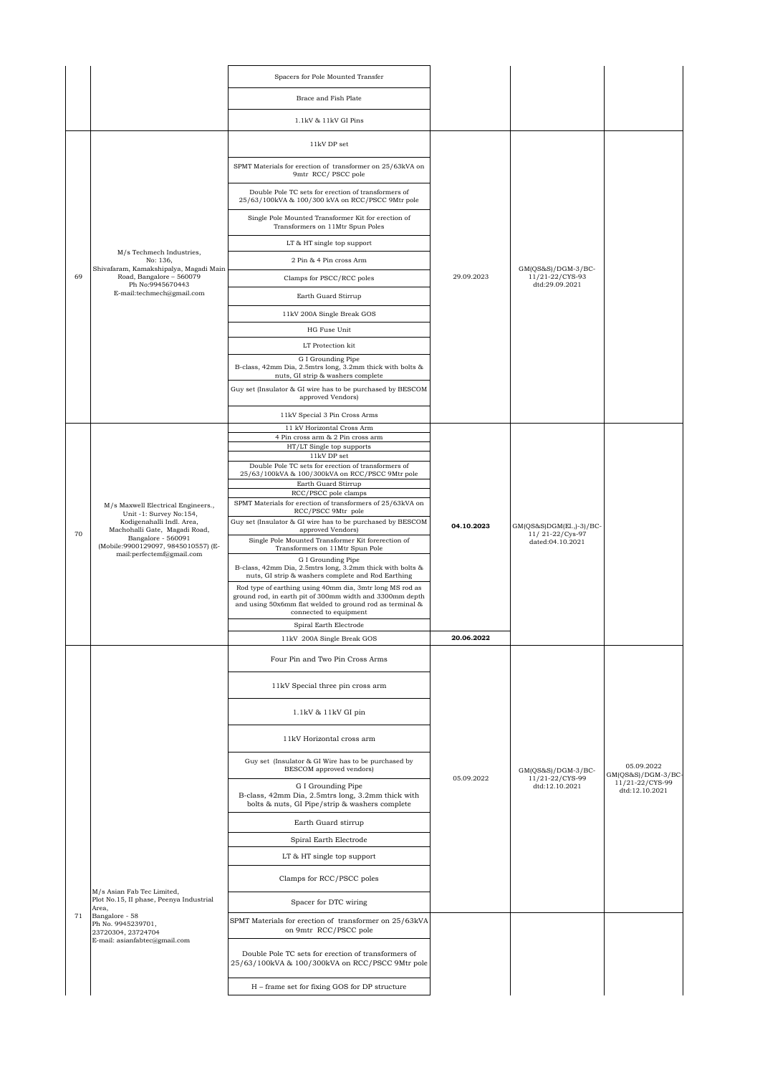|    |                                                                                            | Spacers for Pole Mounted Transfer                                                                                                                                                                          |            |                                                           |                                                       |
|----|--------------------------------------------------------------------------------------------|------------------------------------------------------------------------------------------------------------------------------------------------------------------------------------------------------------|------------|-----------------------------------------------------------|-------------------------------------------------------|
|    |                                                                                            | Brace and Fish Plate                                                                                                                                                                                       |            |                                                           |                                                       |
|    |                                                                                            | 1.1kV & 11kV GI Pins                                                                                                                                                                                       |            |                                                           |                                                       |
|    |                                                                                            | 11kV DP set                                                                                                                                                                                                |            |                                                           |                                                       |
|    |                                                                                            | SPMT Materials for erection of transformer on 25/63kVA on<br>9mtr RCC/PSCC pole                                                                                                                            |            |                                                           |                                                       |
|    |                                                                                            | Double Pole TC sets for erection of transformers of<br>25/63/100kVA & 100/300 kVA on RCC/PSCC 9Mtr pole                                                                                                    |            |                                                           |                                                       |
|    |                                                                                            | Single Pole Mounted Transformer Kit for erection of<br>Transformers on 11Mtr Spun Poles                                                                                                                    |            |                                                           |                                                       |
|    |                                                                                            | LT & HT single top support                                                                                                                                                                                 |            |                                                           |                                                       |
|    | M/s Techmech Industries,<br>No: 136,                                                       | 2 Pin & 4 Pin cross Arm                                                                                                                                                                                    |            |                                                           |                                                       |
| 69 | Shivafaram, Kamakshipalya, Magadi Main<br>Road, Bangalore - 560079<br>Ph No:9945670443     | Clamps for PSCC/RCC poles                                                                                                                                                                                  | 29.09.2023 | $GM(QS&S)/DGM-3/BC-$<br>11/21-22/CYS-93<br>dtd:29.09.2021 |                                                       |
|    | E-mail:techmech@gmail.com                                                                  | Earth Guard Stirrup                                                                                                                                                                                        |            |                                                           |                                                       |
|    |                                                                                            | 11kV 200A Single Break GOS                                                                                                                                                                                 |            |                                                           |                                                       |
|    |                                                                                            | HG Fuse Unit                                                                                                                                                                                               |            |                                                           |                                                       |
|    |                                                                                            | LT Protection kit                                                                                                                                                                                          |            |                                                           |                                                       |
|    |                                                                                            | G I Grounding Pipe<br>B-class, 42mm Dia, 2.5mtrs long, 3.2mm thick with bolts &<br>nuts, GI strip & washers complete                                                                                       |            |                                                           |                                                       |
|    |                                                                                            | Guy set (Insulator & GI wire has to be purchased by BESCOM<br>approved Vendors)                                                                                                                            |            |                                                           |                                                       |
|    |                                                                                            | 11kV Special 3 Pin Cross Arms                                                                                                                                                                              |            |                                                           |                                                       |
|    |                                                                                            | 11 kV Horizontal Cross Arm<br>4 Pin cross arm & 2 Pin cross arm                                                                                                                                            |            |                                                           |                                                       |
|    |                                                                                            | HT/LT Single top supports<br>11kV DP set                                                                                                                                                                   |            |                                                           |                                                       |
|    |                                                                                            | Double Pole TC sets for erection of transformers of                                                                                                                                                        |            |                                                           |                                                       |
|    |                                                                                            | 25/63/100kVA & 100/300kVA on RCC/PSCC 9Mtr pole<br>Earth Guard Stirrup                                                                                                                                     |            |                                                           |                                                       |
|    | M/s Maxwell Electrical Engineers.,<br>Unit -1: Survey No:154,<br>Kodigenahalli Indl. Area, | RCC/PSCC pole clamps<br>SPMT Materials for erection of transformers of 25/63kVA on                                                                                                                         |            |                                                           |                                                       |
|    |                                                                                            | RCC/PSCC 9Mtr pole<br>Guy set (Insulator & GI wire has to be purchased by BESCOM                                                                                                                           |            |                                                           |                                                       |
| 70 | Machohalli Gate, Magadi Road,<br>Bangalore - 560091                                        | approved Vendors)<br>Single Pole Mounted Transformer Kit forerection of                                                                                                                                    | 04.10.2023 | GM(QS&S)DGM(El.,)-3)/BC-<br>11/21-22/Cys-97               |                                                       |
|    | (Mobile:9900129097, 9845010557) (E-<br>mail:perfectemf@gmail.com                           | Transformers on 11Mtr Spun Pole                                                                                                                                                                            |            | dated:04.10.2021                                          |                                                       |
|    |                                                                                            | G I Grounding Pipe<br>B-class, 42mm Dia, 2.5mtrs long, 3.2mm thick with bolts &<br>nuts, GI strip & washers complete and Rod Earthing                                                                      |            |                                                           |                                                       |
|    |                                                                                            | Rod type of earthing using 40mm dia, 3mtr long MS rod as<br>ground rod, in earth pit of 300mm width and 3300mm depth<br>and using 50x6mm flat welded to ground rod as terminal &<br>connected to equipment |            |                                                           |                                                       |
|    |                                                                                            | Spiral Earth Electrode                                                                                                                                                                                     |            |                                                           |                                                       |
|    |                                                                                            | 11kV 200A Single Break GOS                                                                                                                                                                                 | 20.06.2022 |                                                           |                                                       |
|    |                                                                                            | Four Pin and Two Pin Cross Arms                                                                                                                                                                            |            |                                                           |                                                       |
|    |                                                                                            | 11kV Special three pin cross arm                                                                                                                                                                           |            |                                                           |                                                       |
|    |                                                                                            | 1.1kV & 11kV GI pin                                                                                                                                                                                        |            |                                                           |                                                       |
|    |                                                                                            | 11kV Horizontal cross arm                                                                                                                                                                                  |            |                                                           |                                                       |
|    |                                                                                            | Guy set (Insulator & GI Wire has to be purchased by<br>BESCOM approved vendors)                                                                                                                            | 05.09.2022 | GM(QS&S)/DGM-3/BC-<br>11/21-22/CYS-99                     | 05.09.2022<br>$GM(QS&S)/DGM-3/BC-$<br>11/21-22/CYS-99 |
|    |                                                                                            | G I Grounding Pipe<br>B-class, 42mm Dia, 2.5mtrs long, 3.2mm thick with<br>bolts & nuts, GI Pipe/strip & washers complete                                                                                  |            | dtd:12.10.2021                                            | dtd:12.10.2021                                        |
|    |                                                                                            | Earth Guard stirrup                                                                                                                                                                                        |            |                                                           |                                                       |
|    |                                                                                            | Spiral Earth Electrode                                                                                                                                                                                     |            |                                                           |                                                       |
|    |                                                                                            | LT & HT single top support                                                                                                                                                                                 |            |                                                           |                                                       |
|    | M/s Asian Fab Tec Limited,                                                                 | Clamps for RCC/PSCC poles                                                                                                                                                                                  |            |                                                           |                                                       |
|    | Plot No.15, II phase, Peenya Industrial<br>Area,                                           | Spacer for DTC wiring                                                                                                                                                                                      |            |                                                           |                                                       |
| 71 | Bangalore - 58<br>Ph No. 9945239701,<br>23720304, 23724704                                 | SPMT Materials for erection of transformer on 25/63kVA<br>on 9mtr RCC/PSCC pole                                                                                                                            |            |                                                           |                                                       |
|    | E-mail: asianfabtec@gmail.com                                                              | Double Pole TC sets for erection of transformers of<br>25/63/100kVA & 100/300kVA on RCC/PSCC 9Mtr pole                                                                                                     |            |                                                           |                                                       |
|    |                                                                                            | H - frame set for fixing GOS for DP structure                                                                                                                                                              |            |                                                           |                                                       |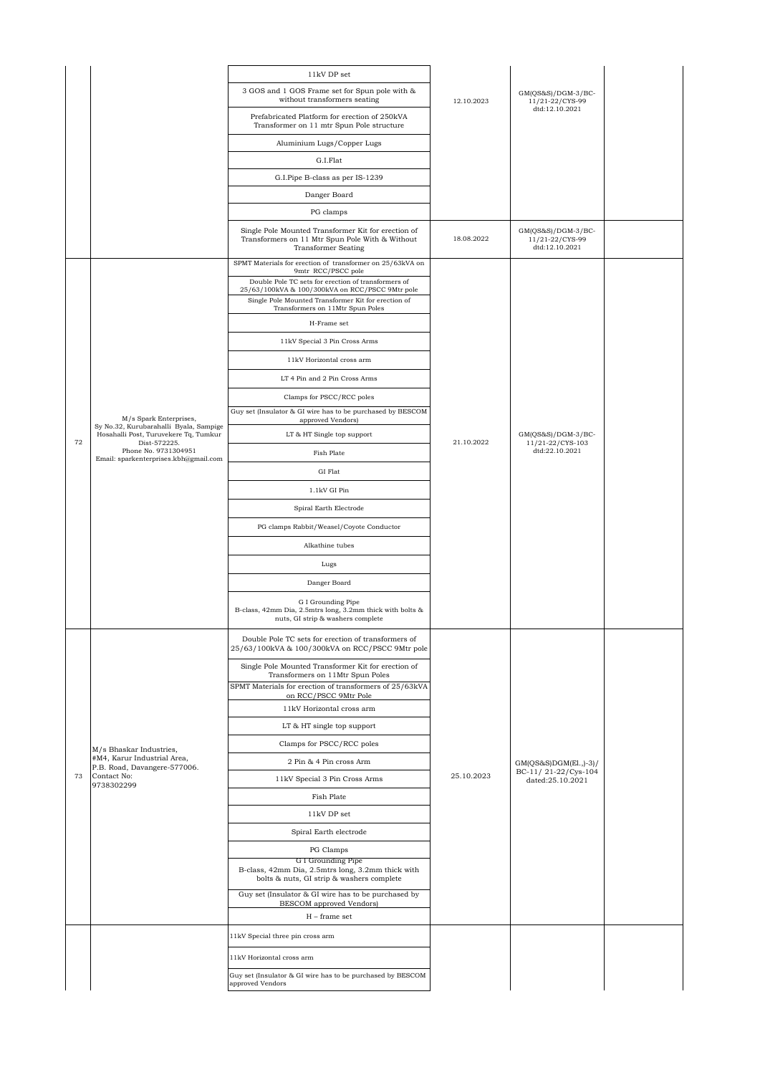|    |                                                                                                           | 11kV DP set                                                                                                                                                                                                                                                                          |            |                                                            |  |
|----|-----------------------------------------------------------------------------------------------------------|--------------------------------------------------------------------------------------------------------------------------------------------------------------------------------------------------------------------------------------------------------------------------------------|------------|------------------------------------------------------------|--|
|    |                                                                                                           | 3 GOS and 1 GOS Frame set for Spun pole with &<br>without transformers seating                                                                                                                                                                                                       | 12.10.2023 | $GM(QS&S)/DGM-3/BC-$<br>11/21-22/CYS-99                    |  |
|    |                                                                                                           | Prefabricated Platform for erection of 250kVA<br>Transformer on 11 mtr Spun Pole structure                                                                                                                                                                                           |            | dtd:12.10.2021                                             |  |
|    |                                                                                                           | Aluminium Lugs/Copper Lugs                                                                                                                                                                                                                                                           |            |                                                            |  |
|    |                                                                                                           | G.I.Flat                                                                                                                                                                                                                                                                             |            |                                                            |  |
|    |                                                                                                           | G.I.Pipe B-class as per IS-1239                                                                                                                                                                                                                                                      |            |                                                            |  |
|    |                                                                                                           | Danger Board                                                                                                                                                                                                                                                                         |            |                                                            |  |
|    |                                                                                                           | PG clamps                                                                                                                                                                                                                                                                            |            |                                                            |  |
|    |                                                                                                           | Single Pole Mounted Transformer Kit for erection of<br>Transformers on 11 Mtr Spun Pole With & Without<br><b>Transformer Seating</b>                                                                                                                                                 | 18.08.2022 | $GM(QS&S)/DGM-3/BC-$<br>11/21-22/CYS-99<br>dtd:12.10.2021  |  |
|    |                                                                                                           | SPMT Materials for erection of transformer on 25/63kVA on<br>9mtr RCC/PSCC pole<br>Double Pole TC sets for erection of transformers of<br>25/63/100kVA & 100/300kVA on RCC/PSCC 9Mtr pole<br>Single Pole Mounted Transformer Kit for erection of<br>Transformers on 11Mtr Spun Poles |            |                                                            |  |
|    |                                                                                                           | H-Frame set                                                                                                                                                                                                                                                                          |            |                                                            |  |
|    |                                                                                                           | 11kV Special 3 Pin Cross Arms                                                                                                                                                                                                                                                        |            |                                                            |  |
|    |                                                                                                           | 11kV Horizontal cross arm                                                                                                                                                                                                                                                            |            |                                                            |  |
|    |                                                                                                           | LT 4 Pin and 2 Pin Cross Arms                                                                                                                                                                                                                                                        |            |                                                            |  |
|    |                                                                                                           | Clamps for PSCC/RCC poles                                                                                                                                                                                                                                                            |            |                                                            |  |
|    |                                                                                                           | Guy set (Insulator & GI wire has to be purchased by BESCOM                                                                                                                                                                                                                           |            |                                                            |  |
|    | M/s Spark Enterprises,<br>Sy No.32, Kurubarahalli Byala, Sampige<br>Hosahalli Post, Turuvekere Tq, Tumkur | approved Vendors)<br>LT & HT Single top support                                                                                                                                                                                                                                      |            |                                                            |  |
| 72 | Dist-572225.<br>Phone No. 9731304951                                                                      |                                                                                                                                                                                                                                                                                      | 21.10.2022 | $GM(QS&S)/DGM-3/BC-$<br>11/21-22/CYS-103<br>dtd:22.10.2021 |  |
|    | Email: sparkenterprises.kbh@gmail.com                                                                     | Fish Plate                                                                                                                                                                                                                                                                           |            |                                                            |  |
|    |                                                                                                           | GI Flat                                                                                                                                                                                                                                                                              |            |                                                            |  |
|    |                                                                                                           | 1.1kV GI Pin                                                                                                                                                                                                                                                                         |            |                                                            |  |
|    |                                                                                                           | Spiral Earth Electrode                                                                                                                                                                                                                                                               |            |                                                            |  |
|    |                                                                                                           | PG clamps Rabbit/Weasel/Coyote Conductor                                                                                                                                                                                                                                             |            |                                                            |  |
|    |                                                                                                           | Alkathine tubes                                                                                                                                                                                                                                                                      |            |                                                            |  |
|    |                                                                                                           | Lugs                                                                                                                                                                                                                                                                                 |            |                                                            |  |
|    |                                                                                                           | Danger Board                                                                                                                                                                                                                                                                         |            |                                                            |  |
|    |                                                                                                           | G I Grounding Pipe<br>B-class, 42mm Dia, 2.5mtrs long, 3.2mm thick with bolts &<br>nuts, GI strip & washers complete                                                                                                                                                                 |            |                                                            |  |
|    |                                                                                                           | Double Pole TC sets for erection of transformers of<br>25/63/100kVA & 100/300kVA on RCC/PSCC 9Mtr pole                                                                                                                                                                               |            |                                                            |  |
|    |                                                                                                           | Single Pole Mounted Transformer Kit for erection of<br>Transformers on 11Mtr Spun Poles                                                                                                                                                                                              |            |                                                            |  |
|    |                                                                                                           | SPMT Materials for erection of transformers of 25/63kVA<br>on RCC/PSCC 9Mtr Pole                                                                                                                                                                                                     |            |                                                            |  |
|    |                                                                                                           | 11kV Horizontal cross arm                                                                                                                                                                                                                                                            |            |                                                            |  |
|    |                                                                                                           | LT & HT single top support                                                                                                                                                                                                                                                           |            |                                                            |  |
|    | M/s Bhaskar Industries,                                                                                   | Clamps for PSCC/RCC poles                                                                                                                                                                                                                                                            |            | GM(QS&S)DGM(El.,)-3)/                                      |  |
|    | #M4, Karur Industrial Area,<br>P.B. Road, Davangere-577006.                                               | 2 Pin & 4 Pin cross Arm                                                                                                                                                                                                                                                              |            |                                                            |  |
| 73 | Contact No:<br>9738302299                                                                                 | 11kV Special 3 Pin Cross Arms                                                                                                                                                                                                                                                        | 25.10.2023 | BC-11/21-22/Cys-104<br>dated:25.10.2021                    |  |
|    |                                                                                                           | Fish Plate                                                                                                                                                                                                                                                                           |            |                                                            |  |
|    |                                                                                                           | 11kV DP set                                                                                                                                                                                                                                                                          |            |                                                            |  |
|    |                                                                                                           | Spiral Earth electrode                                                                                                                                                                                                                                                               |            |                                                            |  |
|    |                                                                                                           | PG Clamps                                                                                                                                                                                                                                                                            |            |                                                            |  |
|    |                                                                                                           | G I Grounding Pipe<br>B-class, 42mm Dia, 2.5mtrs long, 3.2mm thick with<br>bolts & nuts, GI strip & washers complete                                                                                                                                                                 |            |                                                            |  |
|    |                                                                                                           | Guy set (Insulator & GI wire has to be purchased by<br>BESCOM approved Vendors)<br>$H$ – frame set                                                                                                                                                                                   |            |                                                            |  |
|    |                                                                                                           | 11kV Special three pin cross arm                                                                                                                                                                                                                                                     |            |                                                            |  |
|    |                                                                                                           | 11kV Horizontal cross arm                                                                                                                                                                                                                                                            |            |                                                            |  |
|    |                                                                                                           | Guy set (Insulator & GI wire has to be purchased by BESCOM                                                                                                                                                                                                                           |            |                                                            |  |
|    |                                                                                                           | approved Vendors                                                                                                                                                                                                                                                                     |            |                                                            |  |